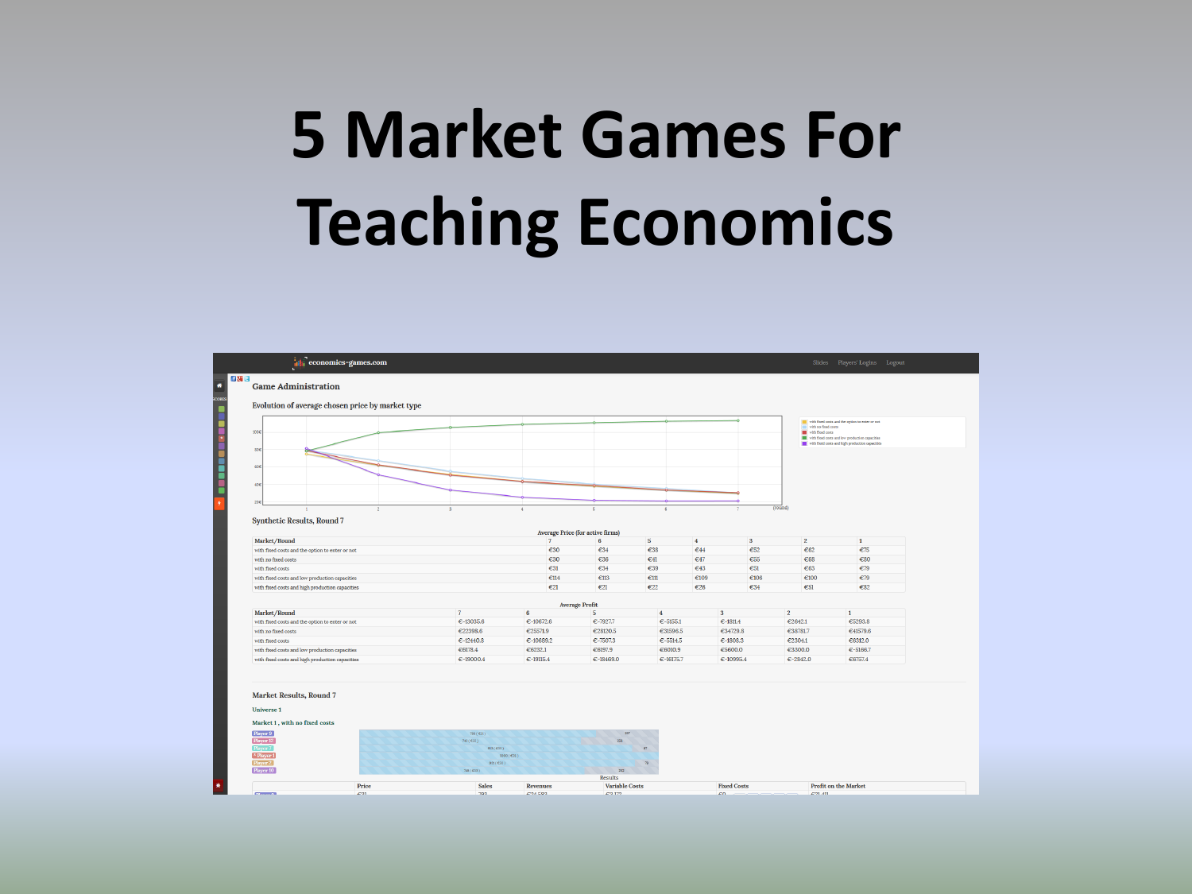## **5 Market Games For Teaching Economics**

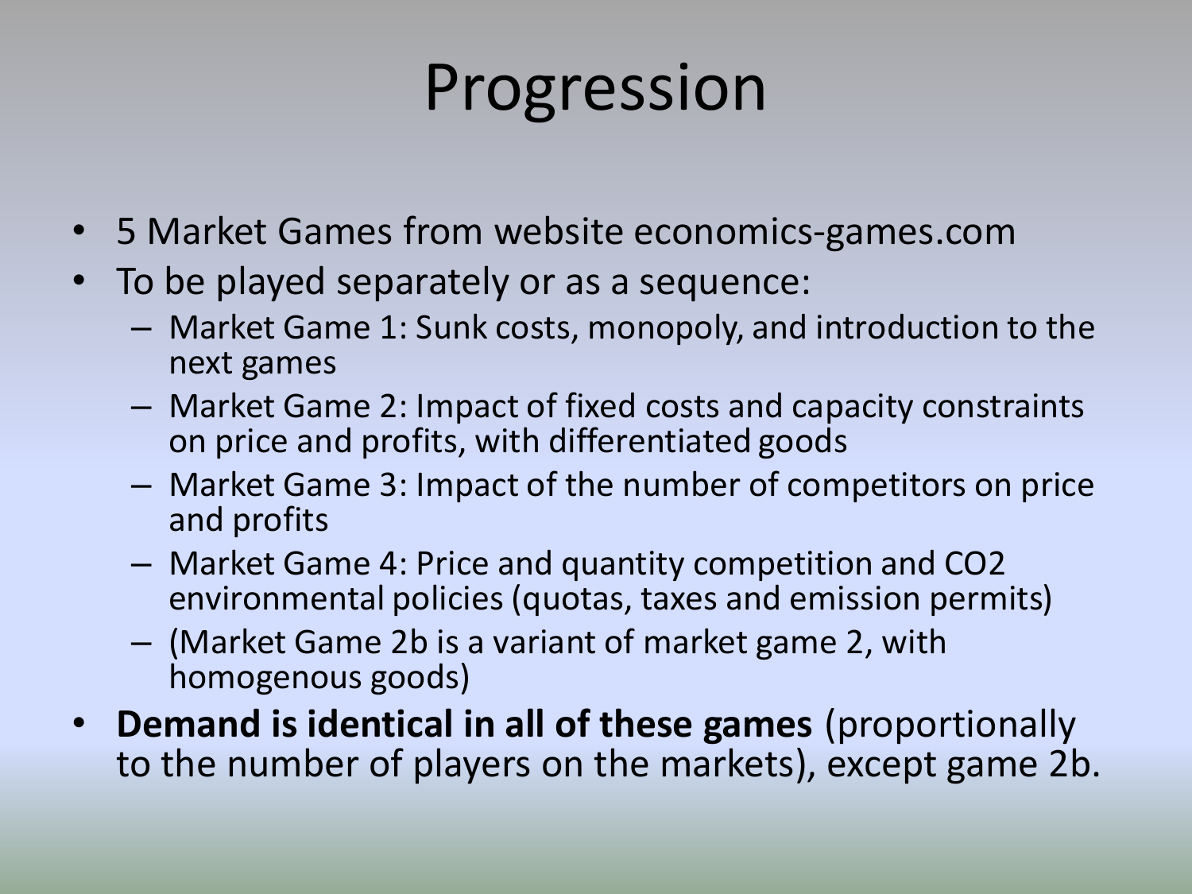## Progression

- 5 Market Games from website economics-games.com
- To be played separately or as a sequence:
	- Market Game 1: Sunk costs, monopoly, and introduction to the next games
	- Market Game 2: Impact of fixed costs and capacity constraints on price and profits, with differentiated goods
	- Market Game 3: Impact of the number of competitors on price and profits
	- Market Game 4: Price and quantity competition and CO2 environmental policies (quotas, taxes and emission permits)
	- (Market Game 2b is a variant of market game 2, with homogenous goods)
- **Demand is identical in all of these games** (proportionally to the number of players on the markets), except game 2b.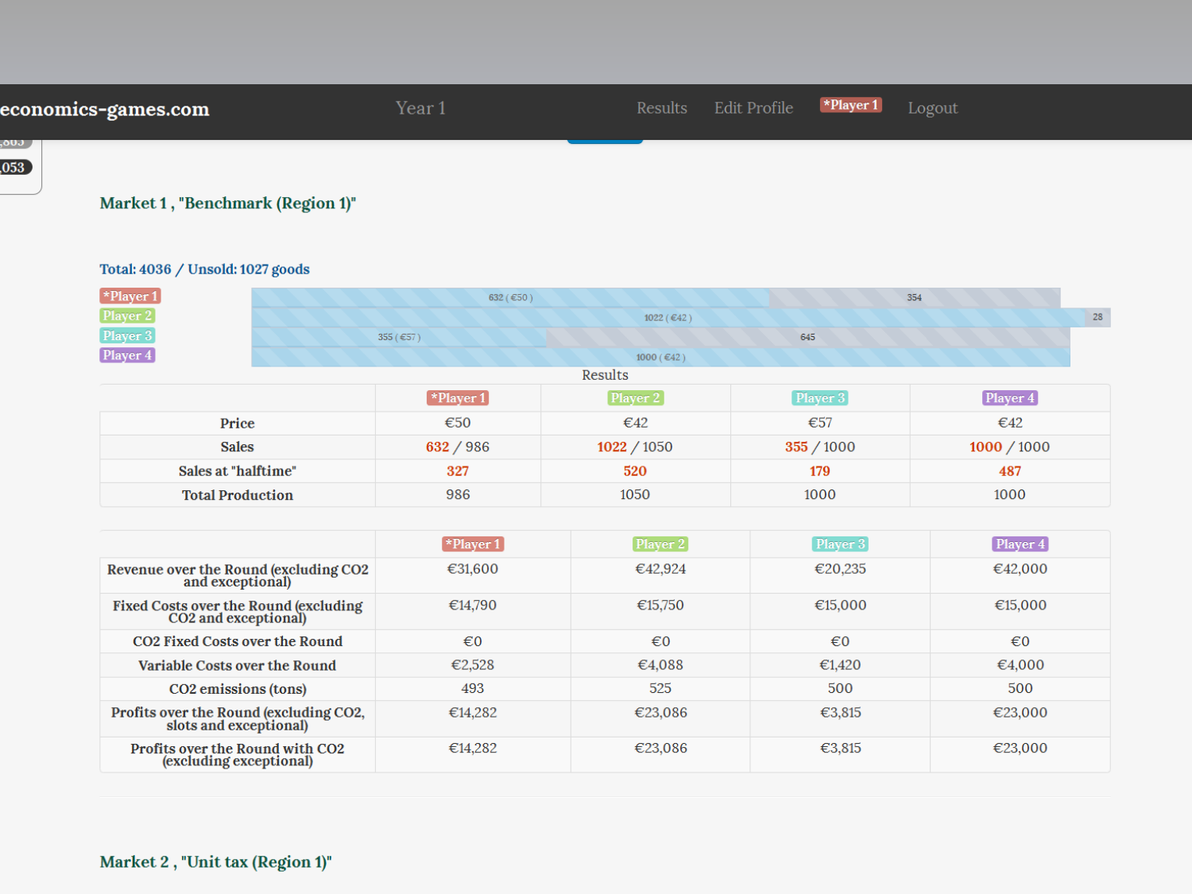### Results Edit Profile  $\blacktriangleright$ Player 1 Logout economics-games.com ,၀ပ၁ ၂

€14,282

€14,282

### Market 1, "Benchmark (Region 1)"

### Total: 4036 / Unsold: 1027 goods

| $\left[\right. \times$ Player 1                               | 632 ( $\in$ 50)                |                          | 354          |                         |  |
|---------------------------------------------------------------|--------------------------------|--------------------------|--------------|-------------------------|--|
| Player 2                                                      |                                | $1022 (\text{ } \in 42)$ |              | 28                      |  |
| Player 3                                                      | 355 (€57)                      |                          | 645          |                         |  |
| Player 4                                                      |                                | $1000$ (€42)             |              |                         |  |
|                                                               |                                | Results                  |              |                         |  |
|                                                               | $\left[ *$ Player 1            | Player 2                 | Player 3     | [Player 4]              |  |
| Price                                                         | €50                            | $\epsilon$ 42            | €57          | $\epsilon$ 42           |  |
| <b>Sales</b>                                                  | 632 / 986                      | 1022 / 1050              | 355 / 1000   | 1000 / 1000             |  |
| Sales at "halftime"                                           | 327                            | 520                      | 179          | 487                     |  |
| <b>Total Production</b>                                       | 986                            | 1050                     | 1000         | 1000                    |  |
|                                                               |                                |                          |              |                         |  |
|                                                               | $\blacktriangleright$ Player 1 | Player 2                 | Player 3     | [Player 4]              |  |
| Revenue over the Round (excluding CO2<br>and exceptional)     | €31,600                        | €42,924                  | €20,235      | €42,000                 |  |
| Fixed Costs over the Round (excluding<br>CO2 and exceptional) | €14,790                        | €15,750                  | €15,000      | €15,000                 |  |
| <b>CO2 Fixed Costs over the Round</b>                         | €0                             | $\epsilon$ <sub>0</sub>  | $\epsilon$ 0 | $\epsilon$ <sub>0</sub> |  |
| Variable Costs over the Round                                 | €2,528                         | €4,088                   | €1,420       | €4,000                  |  |
| CO <sub>2</sub> emissions (tons)                              | 493                            | 525                      | 500          | 500                     |  |

€23,086

€23,086

€3,815

€3,815

€23,000

€23,000

Profits over the Round (excluding CO2,<br>slots and exceptional)

Profits over the Round with CO2<br>(excluding exceptional)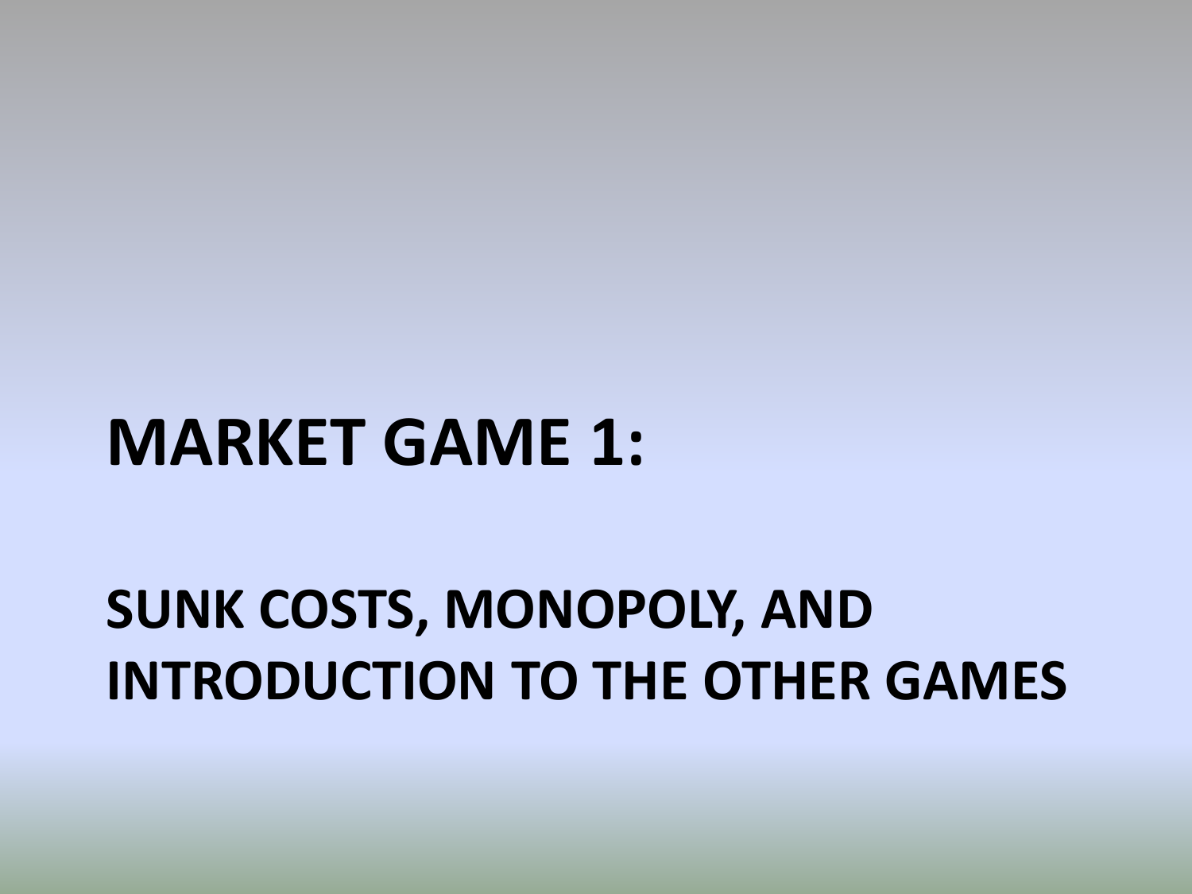### **MARKET GAME 1:**

### **SUNK COSTS, MONOPOLY, AND INTRODUCTION TO THE OTHER GAMES**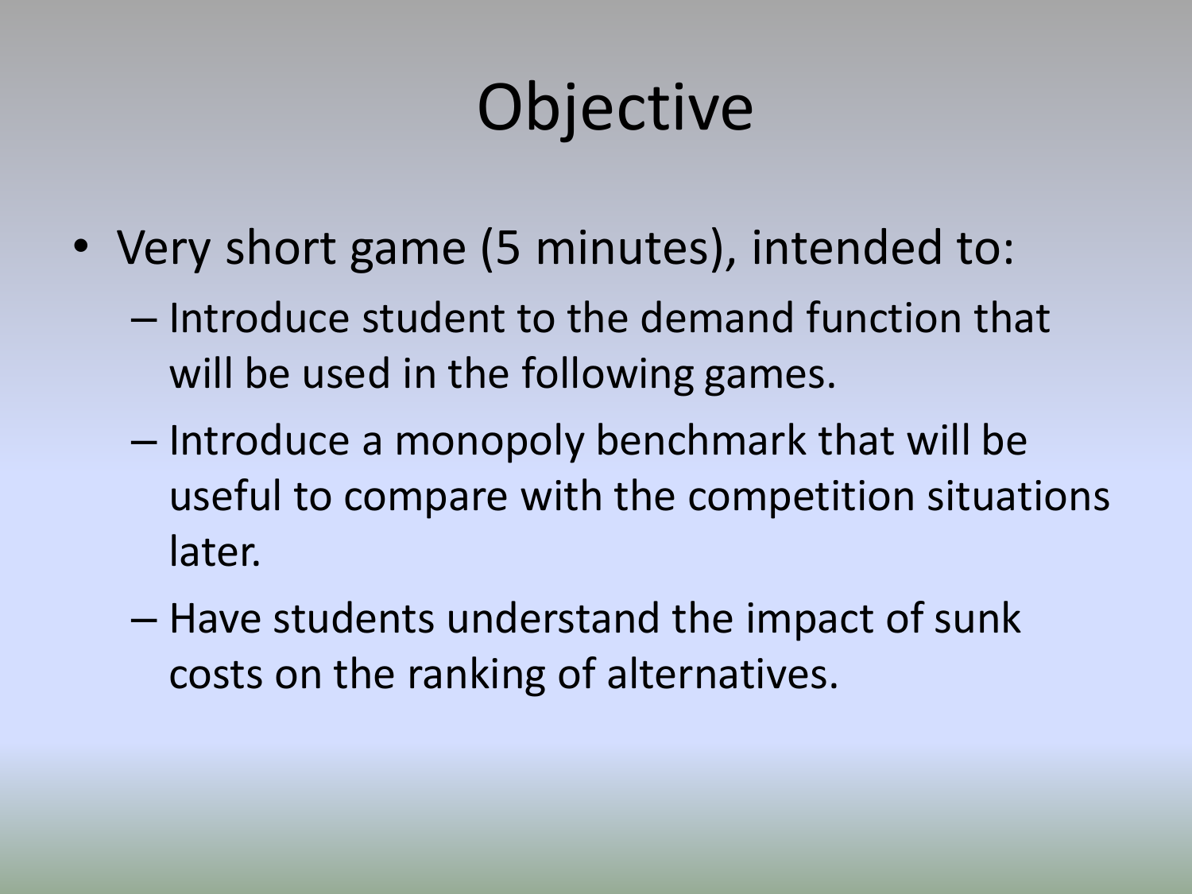## **Objective**

- Very short game (5 minutes), intended to:
	- Introduce student to the demand function that will be used in the following games.
	- Introduce a monopoly benchmark that will be useful to compare with the competition situations later.
	- Have students understand the impact of sunk costs on the ranking of alternatives.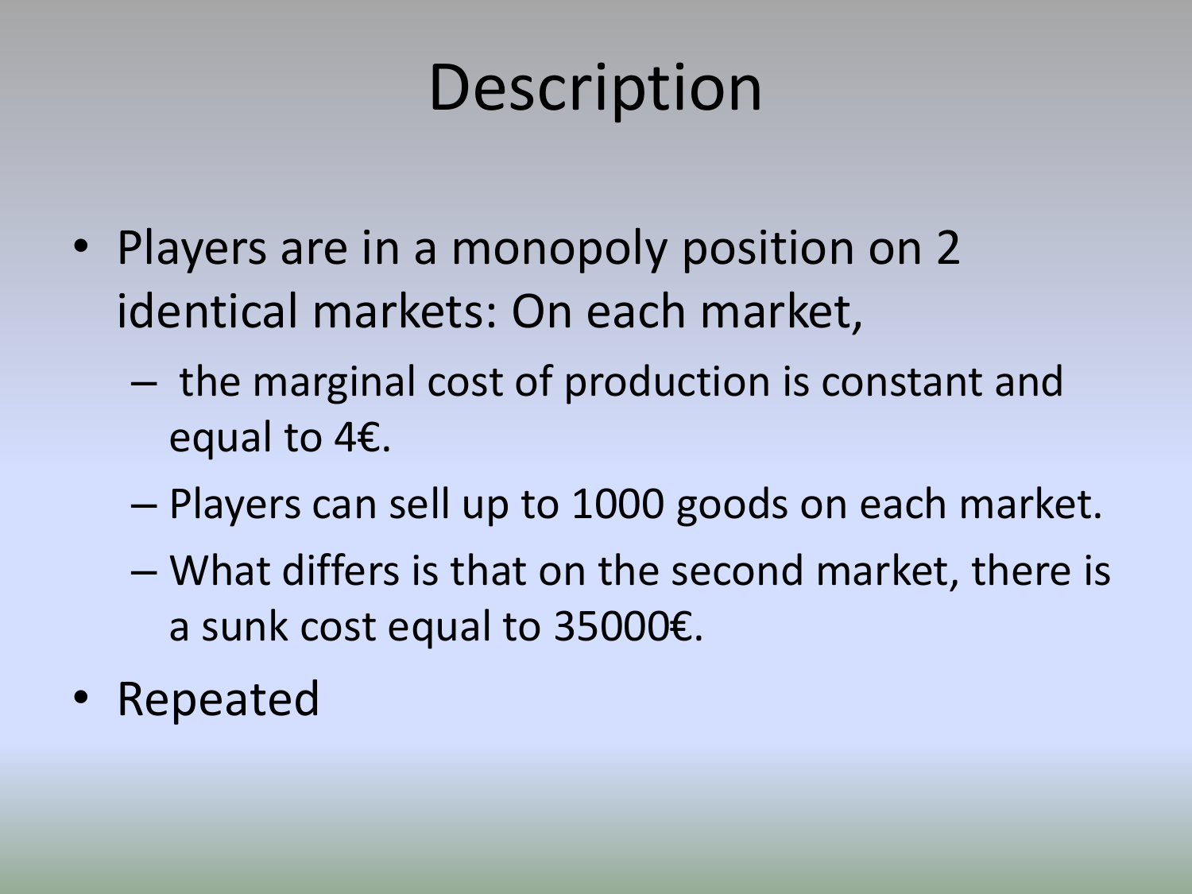## **Description**

- Players are in a monopoly position on 2 identical markets: On each market,
	- the marginal cost of production is constant and equal to 4€.
	- Players can sell up to 1000 goods on each market.
	- What differs is that on the second market, there is a sunk cost equal to 35000€.
- Repeated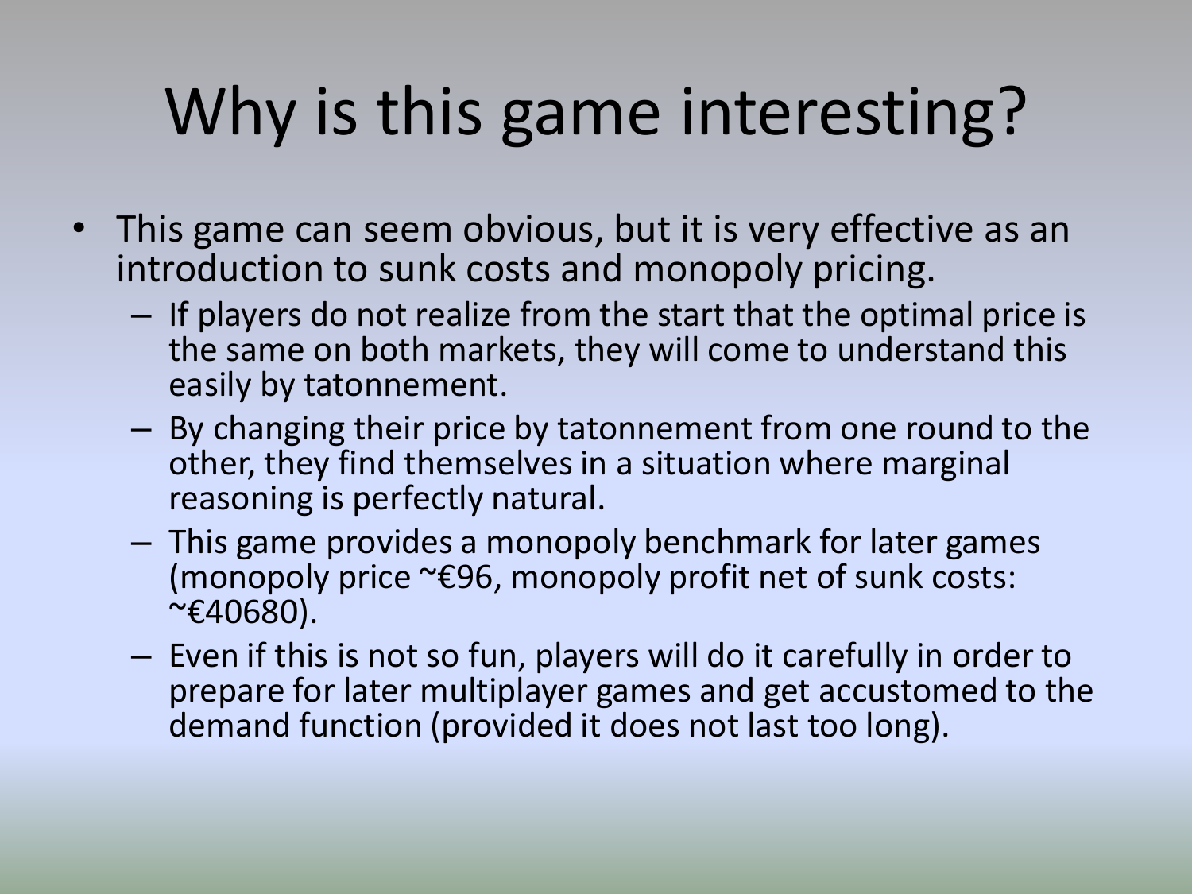## Why is this game interesting?

- This game can seem obvious, but it is very effective as an introduction to sunk costs and monopoly pricing.
	- If players do not realize from the start that the optimal price is the same on both markets, they will come to understand this easily by tatonnement.
	- By changing their price by tatonnement from one round to the other, they find themselvesin a situation where marginal reasoning is perfectly natural.
	- This game provides a monopoly benchmark for later games (monopoly price ~€96, monopoly profit net of sunk costs:  $~\sim$  €40680).
	- Even if this is not so fun, players will do it carefully in order to prepare for later multiplayer games and get accustomed to the demand function (provided it does not last too long).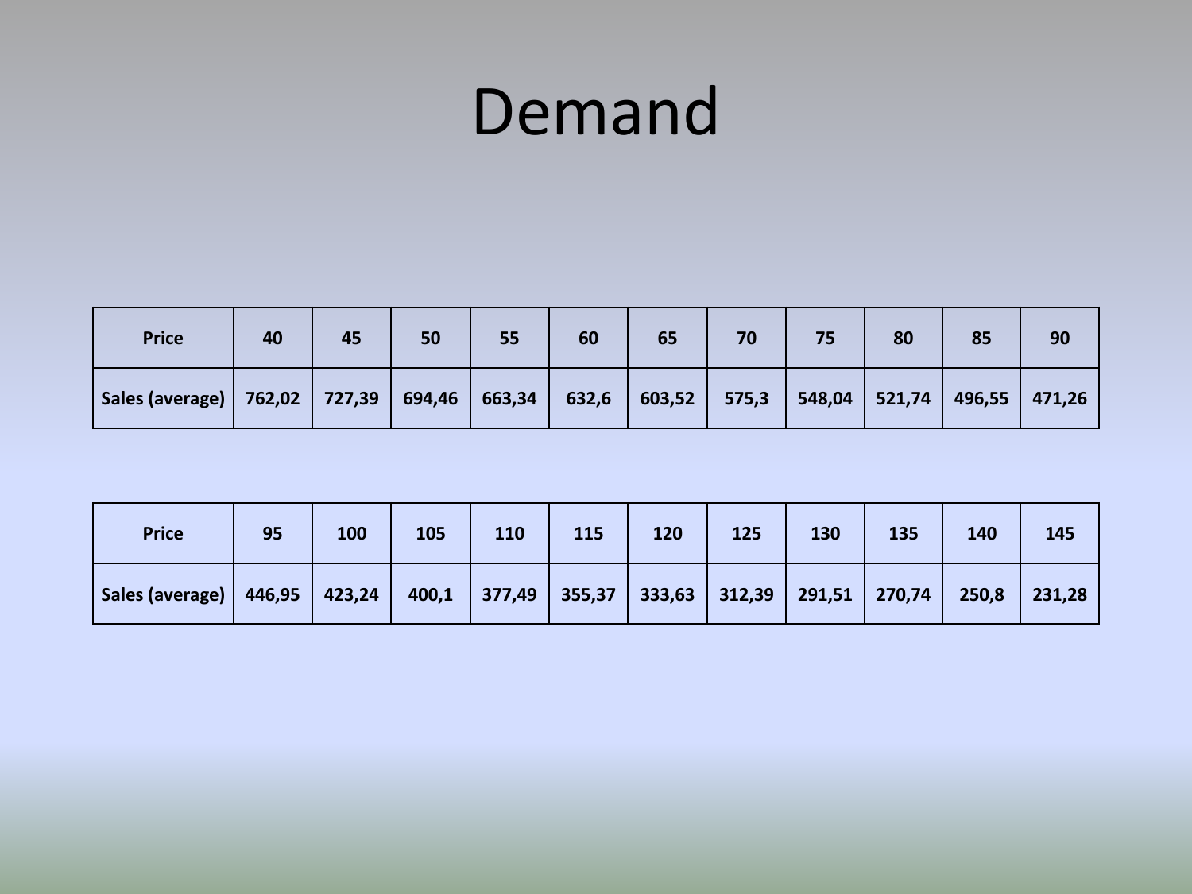### Demand

| <b>Price</b>                                        | 40 | 45 | 50 | 55 | 60    | 65                                       | 70 | 75 | 80 | 85     | 90     |
|-----------------------------------------------------|----|----|----|----|-------|------------------------------------------|----|----|----|--------|--------|
| Sales (average)   762,02   727,39   694,46   663,34 |    |    |    |    | 632,6 | $\vert$ 603,52   575,3   548,04   521,74 |    |    |    | 496,55 | 471,26 |

| <b>Price</b>                                                                                                     | 95 | 100 | 105 | 110 | <b>115</b> | 120 | 125 | 130 | 135 | 140 | 145 |
|------------------------------------------------------------------------------------------------------------------|----|-----|-----|-----|------------|-----|-----|-----|-----|-----|-----|
| Sales (average)   446,95   423,24   400,1   377,49   355,37   333,63   312,39   291,51   270,74   250,8   231,28 |    |     |     |     |            |     |     |     |     |     |     |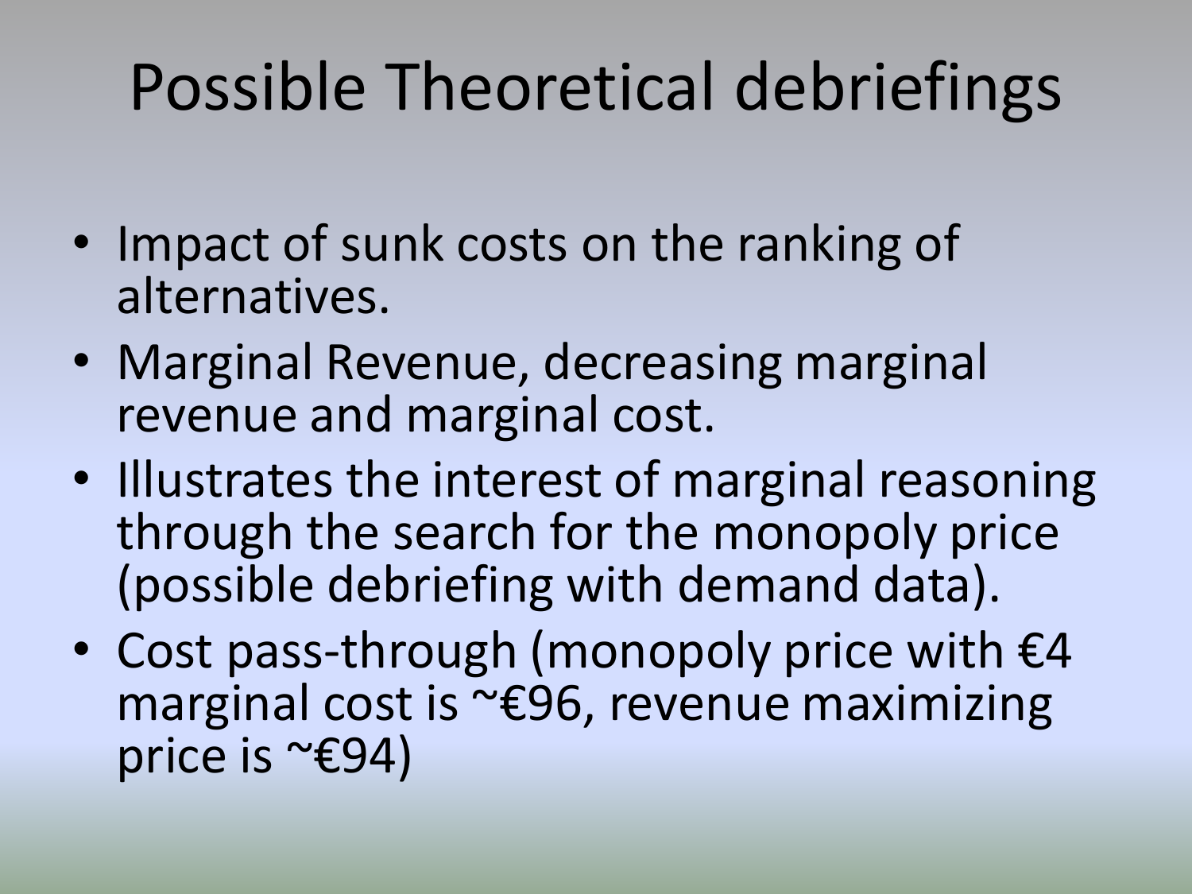- Impact of sunk costs on the ranking of alternatives.
- Marginal Revenue, decreasing marginal revenue and marginal cost.
- Illustrates the interest of marginal reasoning through the search for the monopoly price (possible debriefing with demand data).
- Cost pass-through (monopoly price with  $\epsilon$ 4 marginal cost is ~€96, revenue maximizing price is ~€94)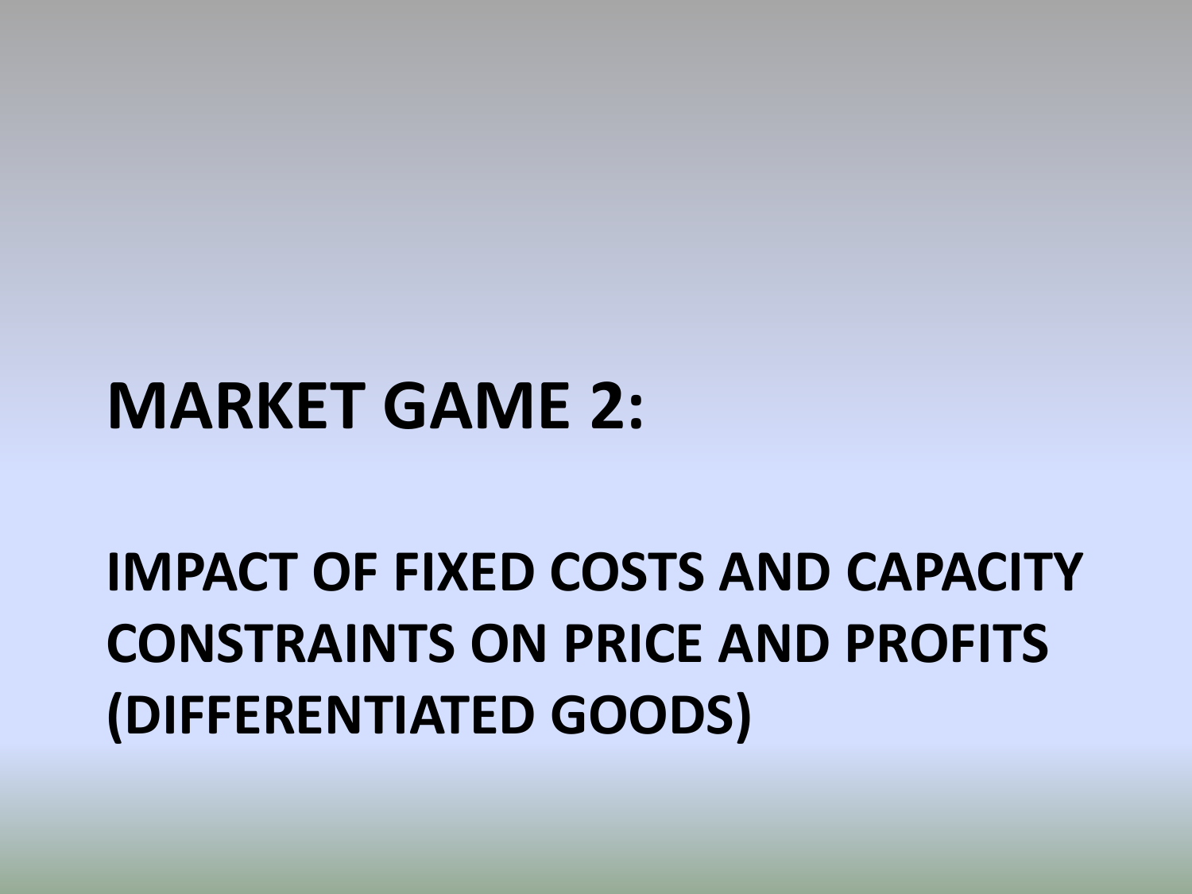### **IMPACT OF FIXED COSTS AND CAPACITY CONSTRAINTS ON PRICE AND PROFITS (DIFFERENTIATED GOODS)**

### **MARKET GAME 2:**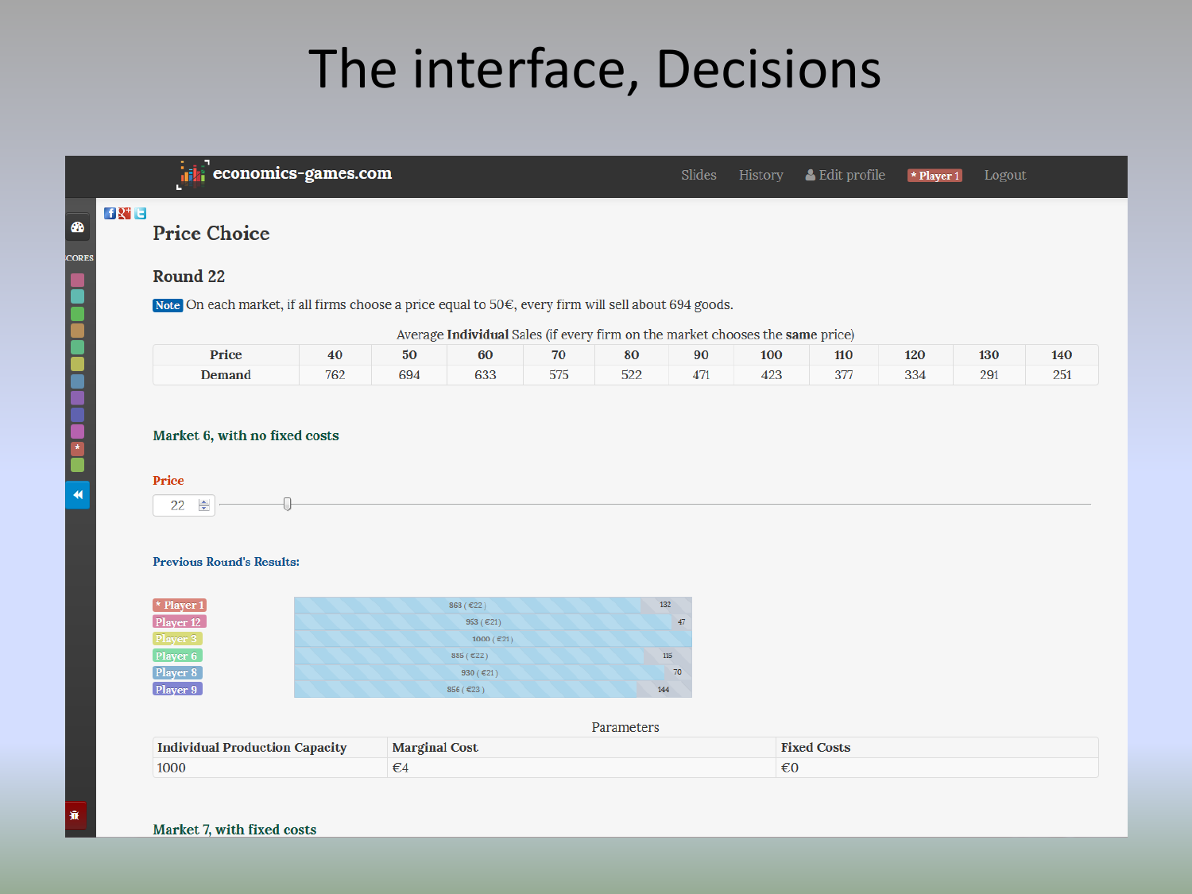### The interface, Decisions



575

522

471

423

334

291

251

377

### Market 6, with no fixed costs

**Demand** 

### Price



### **Previous Round's Results:**

| $\star$ Player 1 | 868 ( $E22$ ) | 132 |
|------------------|---------------|-----|
| Player 12        | 953 ( $E21$ ) | 47  |
| Player 3         | 1000 (€21)    |     |
| Player 6         | 885 (€22)     | 115 |
| Player 8         | 930 ( $E$ 21) | 70  |
| Player 9         | $856$ (€23)   | 144 |

694

762

633

### Parameters

| <b>Individual Production Capacity</b> | <b>Marginal Cost</b> | <sup>1</sup> Costs<br>Gvod |
|---------------------------------------|----------------------|----------------------------|
| 1000                                  | ឃ≄                   | €6                         |

棄

☎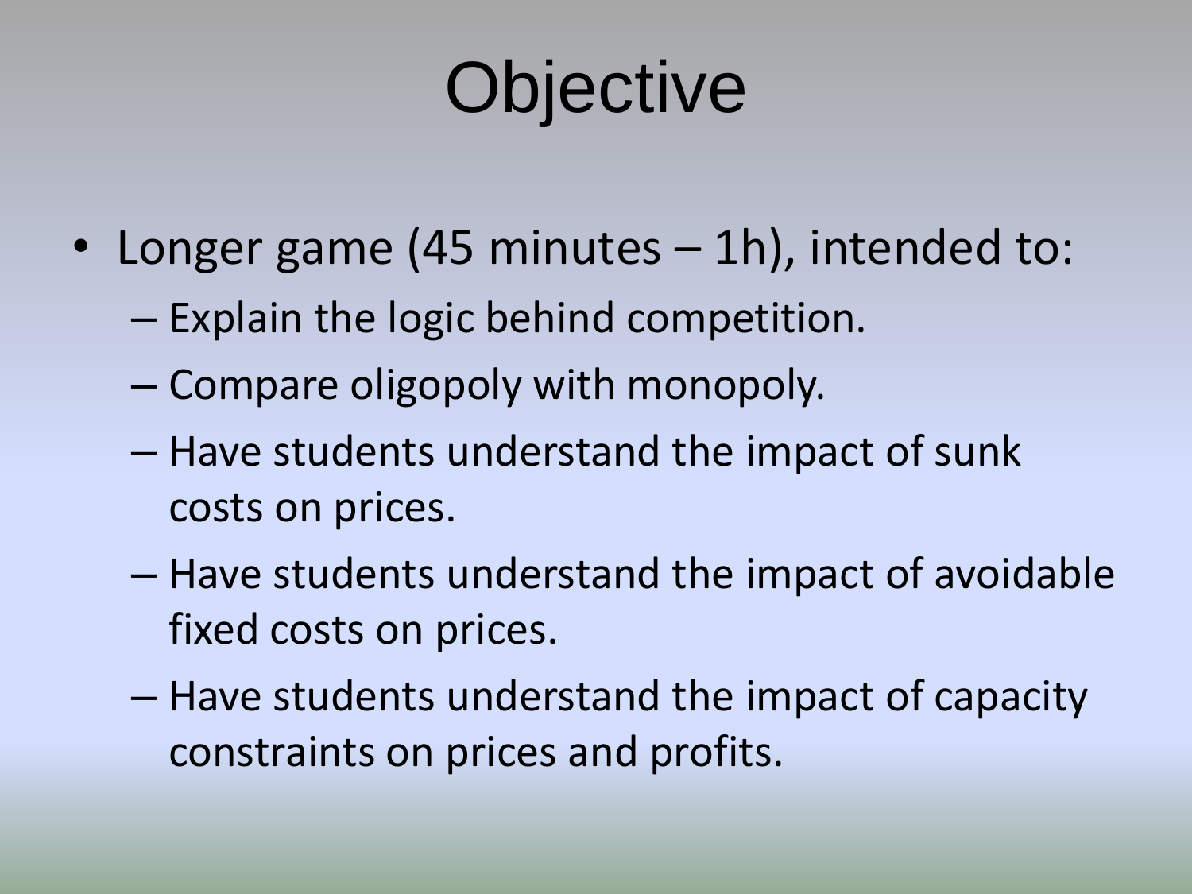# **Objective**

- Longer game (45 minutes 1h), intended to:
	- Explain the logic behind competition.
	- Compare oligopoly with monopoly.
	- Have students understand the impact of sunk costs on prices.
	- Have students understand the impact of avoidable fixed costs on prices.
	- Have students understand the impact of capacity constraints on prices and profits.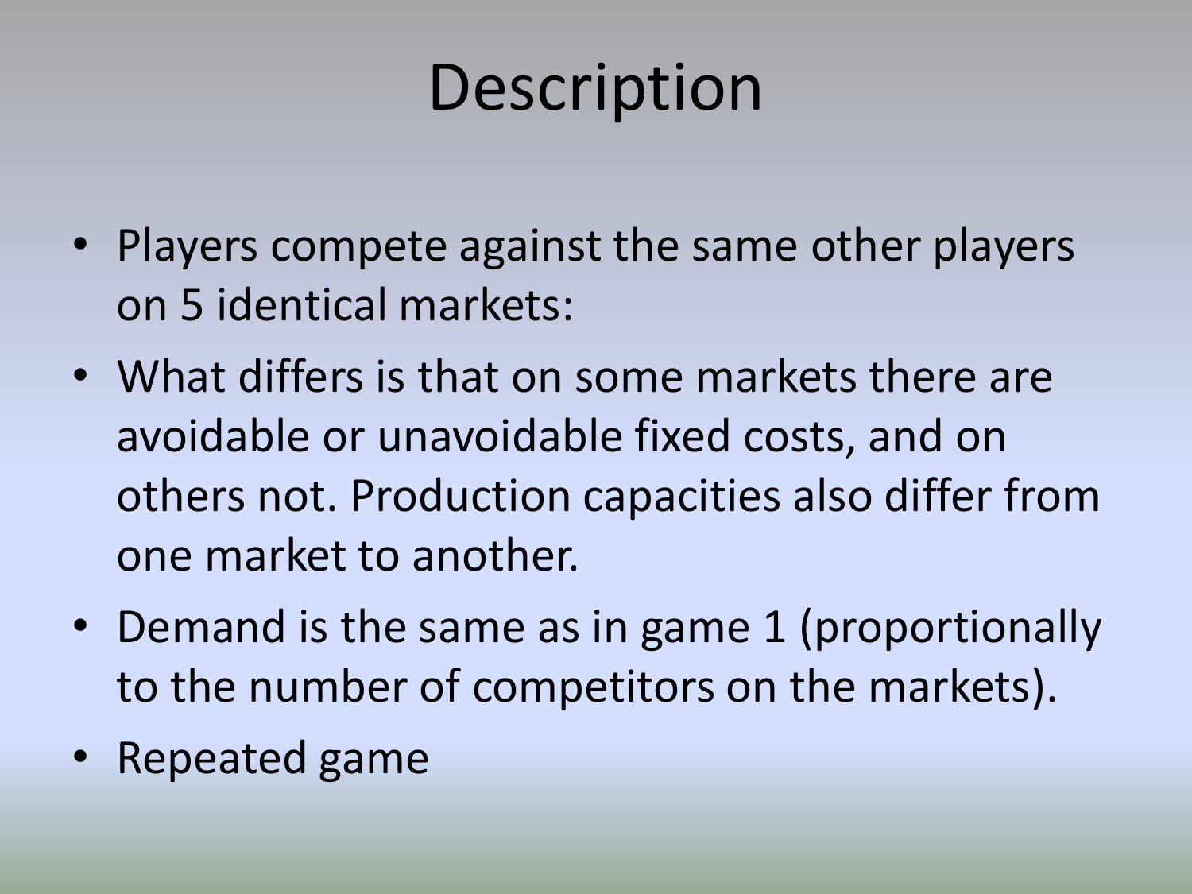## **Description**

- Players compete against the same other players on 5 identical markets:
- What differs is that on some markets there are avoidable or unavoidable fixed costs, and on others not. Production capacities also differ from one market to another.
- Demand is the same as in game 1 (proportionally to the number of competitors on the markets).
- Repeated game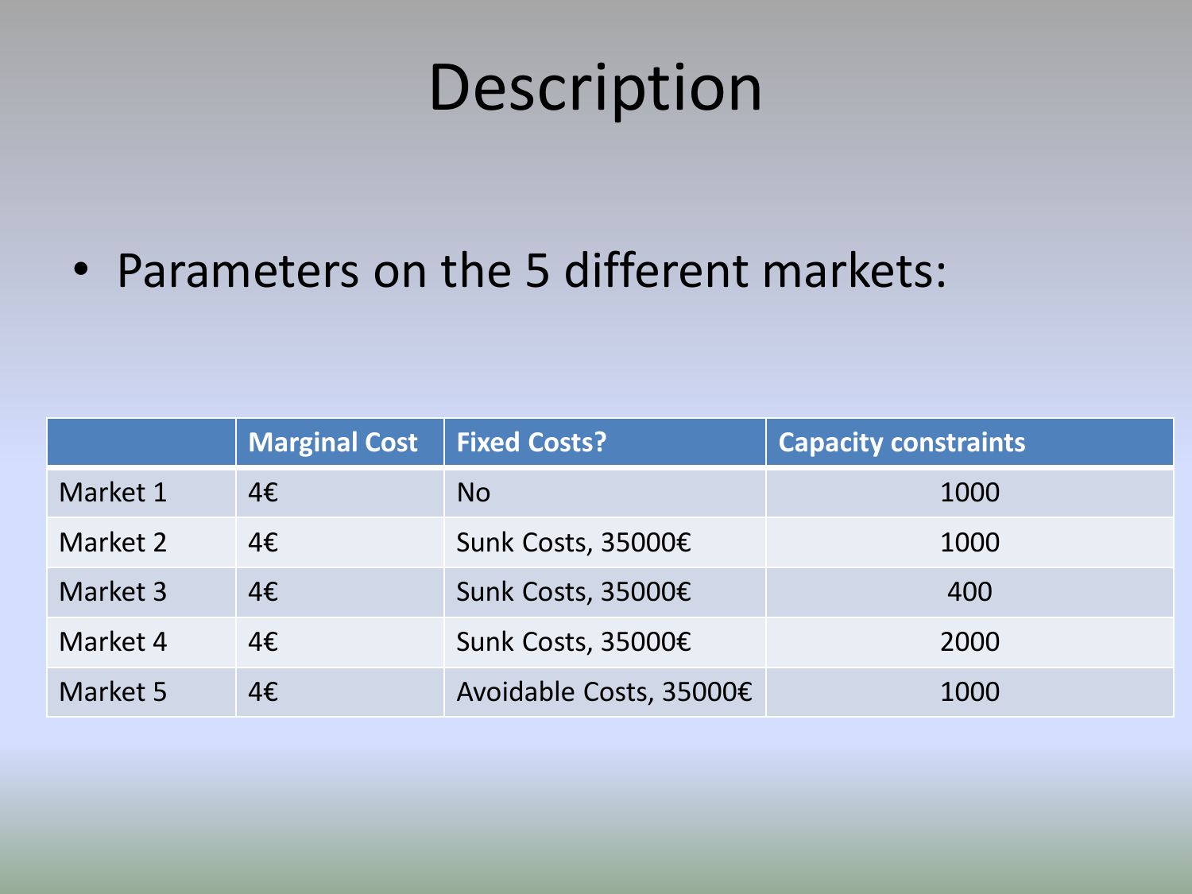### Description

• Parameters on the 5 different markets:

|          | <b>Marginal Cost</b> | <b>Fixed Costs?</b>     | <b>Capacity constraints</b> |
|----------|----------------------|-------------------------|-----------------------------|
| Market 1 | 4E                   | N <sub>O</sub>          | 1000                        |
| Market 2 | 4€                   | Sunk Costs, 35000€      | 1000                        |
| Market 3 | 4€                   | Sunk Costs, 35000€      | 400                         |
| Market 4 | 4E                   | Sunk Costs, 35000€      | 2000                        |
| Market 5 | 4€                   | Avoidable Costs, 35000€ | 1000                        |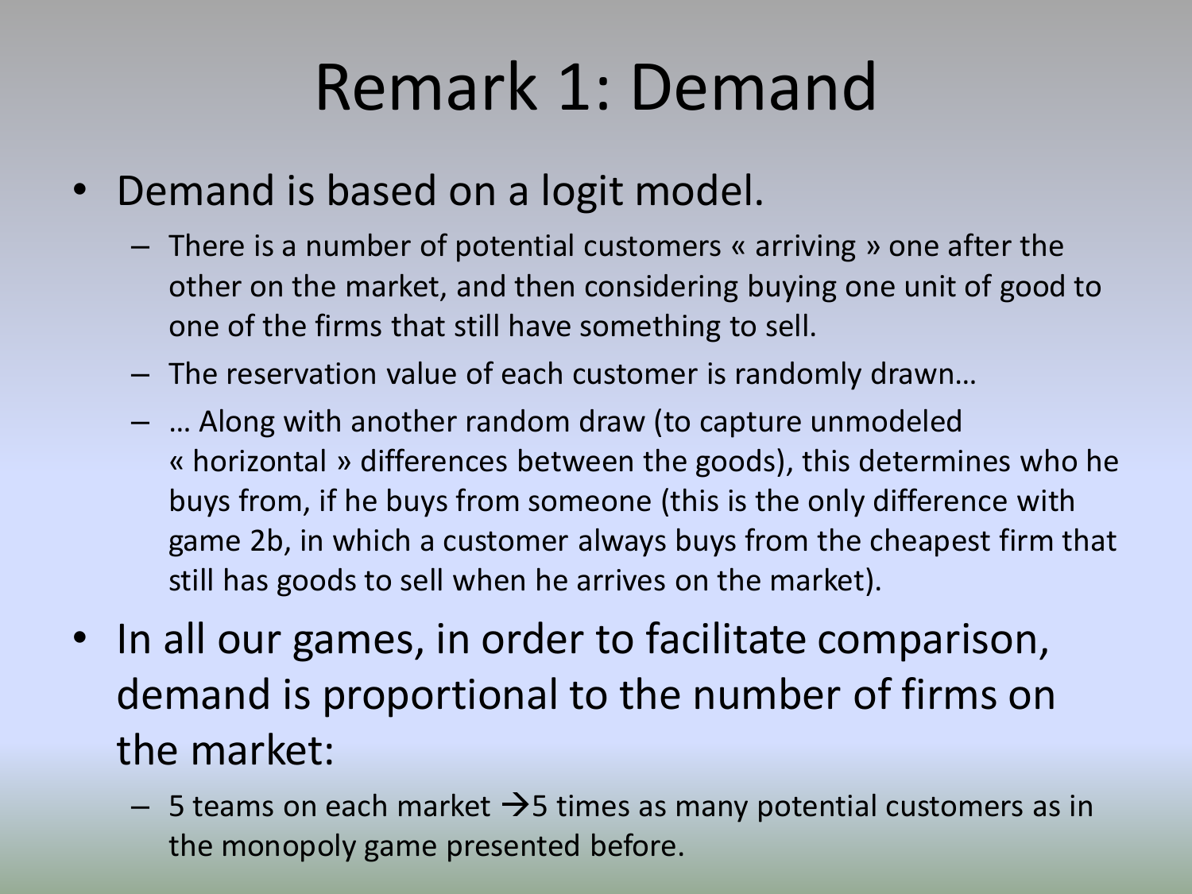### Remark 1: Demand

- Demand is based on a logit model.
	- There is a number of potential customers « arriving » one after the other on the market, and then considering buying one unit of good to one of the firms that still have something to sell.
	- The reservation value of each customer is randomly drawn…
	- … Along with another random draw (to capture unmodeled « horizontal » differences between the goods), this determines who he buys from, if he buys from someone (this is the only difference with game 2b, in which a customer always buys from the cheapest firm that still has goods to sell when he arrives on the market).
- In all our games, in order to facilitate comparison, demand is proportional to the number of firms on the market:
	- $-$  5 teams on each market  $\rightarrow$  5 times as many potential customers as in the monopoly game presented before.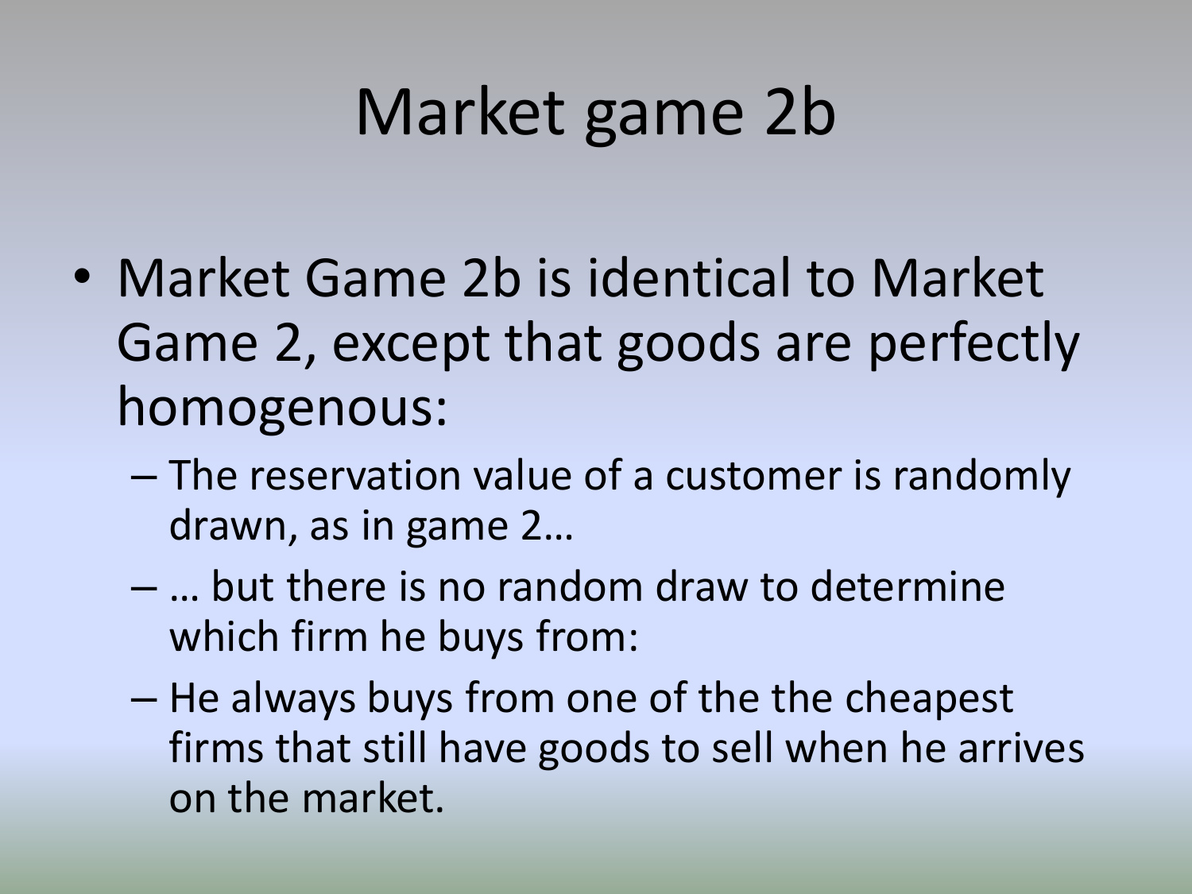## Market game 2b

- Market Game 2b is identical to Market Game 2, except that goods are perfectly homogenous:
	- The reservation value of a customer is randomly drawn, as in game 2…
	- … but there is no random draw to determine which firm he buys from:
	- He always buys from one of the the cheapest firms that still have goods to sell when he arrives on the market.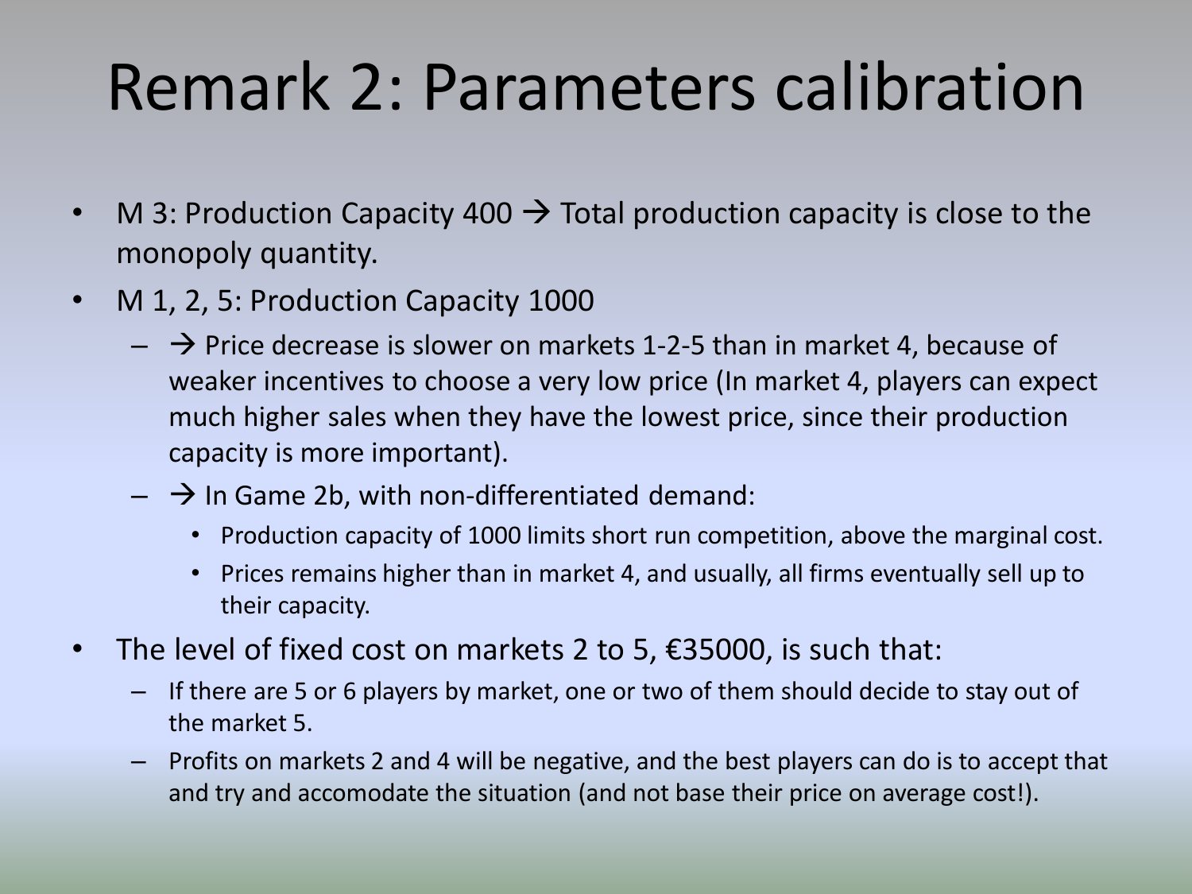## Remark 2: Parameters calibration

- M 3: Production Capacity 400  $\rightarrow$  Total production capacity is close to the monopoly quantity.
- M 1, 2, 5: Production Capacity 1000
	- $\rightarrow$  Price decrease is slower on markets 1-2-5 than in market 4, because of weaker incentives to choose a very low price (In market 4, players can expect much higher sales when they have the lowest price, since their production capacity is more important).
	- $\rightarrow$  In Game 2b, with non-differentiated demand:
		- Production capacity of 1000 limits short run competition, above the marginal cost.
		- Prices remains higher than in market 4, and usually, all firms eventually sell up to their capacity.
- The level of fixed cost on markets 2 to 5,  $\epsilon$ 35000, is such that:
	- If there are 5 or 6 players by market, one or two of them should decide to stay out of the market 5.
	- Profits on markets 2 and 4 will be negative, and the best players can do is to accept that and try and accomodate the situation (and not base their price on average cost!).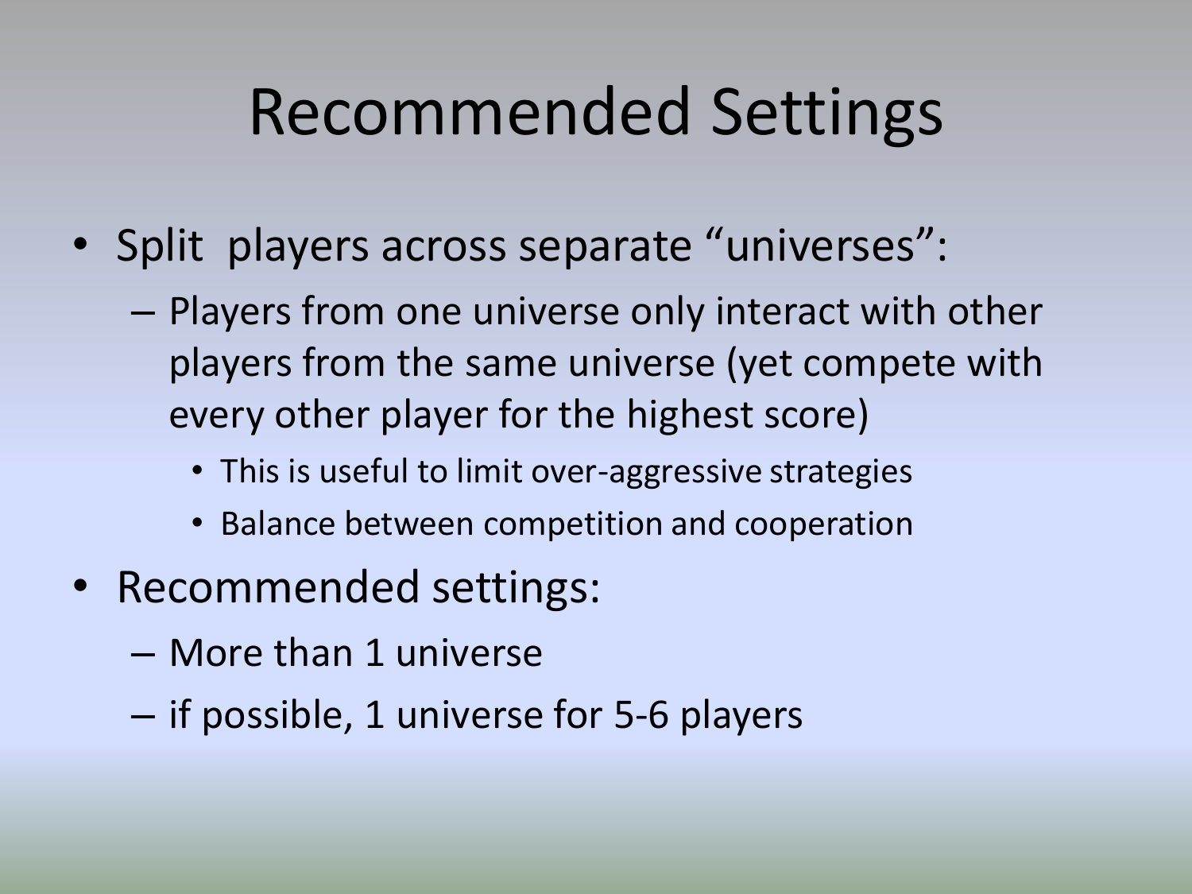### Recommended Settings

- Split players across separate "universes":
	- Players from one universe only interact with other players from the same universe (yet compete with every other player for the highest score)
		- This is useful to limit over-aggressive strategies
		- Balance between competition and cooperation
- Recommended settings:
	- More than 1 universe
	- if possible, 1 universe for 5-6 players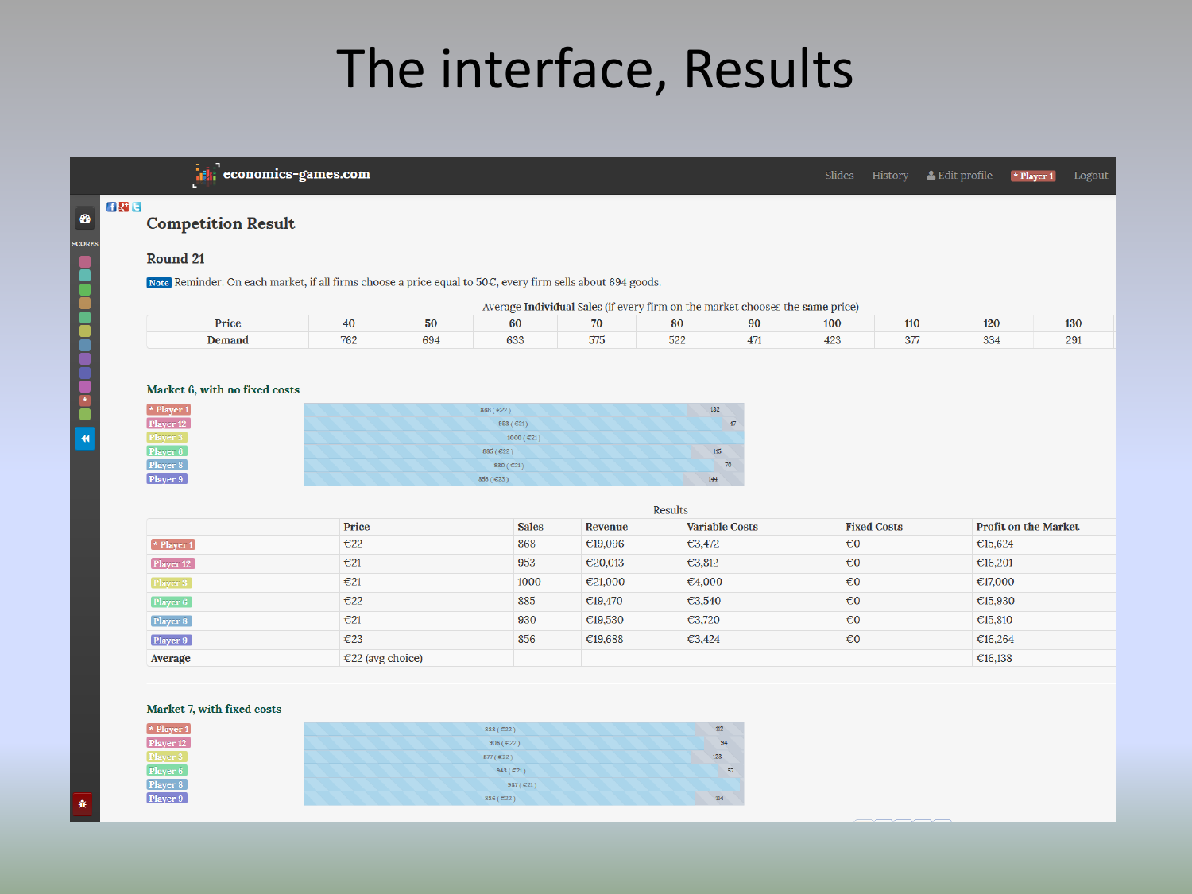### The interface, Results

 $\left[\mathbf{u}\right]$  economics-games.com

& Edit profile  $\star$  Player 1

**Competition Result** 

### **Round 21**

**FRIE** 

 $\bullet$ 

**SCORES** 

**K DESERVE DES RE** 

Note Reminder: On each market, if all firms choose a price equal to 50€, every firm sells about 694 goods.

| (verage <b>Individual</b> Sales (if every firm on the market chooses the <b>same</b> price) |  |  |  |
|---------------------------------------------------------------------------------------------|--|--|--|
|---------------------------------------------------------------------------------------------|--|--|--|

| Price  | 40                  | 50  | 60            | 70          | 80            | 100 | 110           | 120         | 130        |
|--------|---------------------|-----|---------------|-------------|---------------|-----|---------------|-------------|------------|
| Demand | $\mathbf{a}$<br>162 | 694 | $\sim$<br>ხაა | ---<br>-979 | $-$ 00<br>322 | 423 | $\sim$<br>31. | $\sim$<br>w | 2Q.<br>ا ب |

### Market 6, with no fixed costs

| $*$ Player 1 | 868 (€22)     | 132 |
|--------------|---------------|-----|
| Player 12    | 953 ( $E21$ ) | 47  |
| Player 3     | $1000$ (€21)  |     |
| Player 6     | 885(E22)      | 115 |
| Player 8     | 930 ( $E21$ ) | 70  |
| Player 9     | 856 (€23)     | 144 |

|                  |                            |              | Results |                       |                         |                             |
|------------------|----------------------------|--------------|---------|-----------------------|-------------------------|-----------------------------|
|                  | Price                      | <b>Sales</b> | Revenue | <b>Variable Costs</b> | <b>Fixed Costs</b>      | <b>Profit on the Market</b> |
| $\star$ Player 1 | €22                        | 868          | €19,096 | €3,472                | $\epsilon$ <sup>0</sup> | €15,624                     |
| Player 12        | E21                        | 953          | €20,013 | €3,812                | $\epsilon$ <sub>0</sub> | €16,201                     |
| Player 3         | E21                        | 1000         | €21,000 | €4,000                | $\epsilon$ <sub>0</sub> | €17,000                     |
| Player 6         | E22                        | 885          | €19,470 | €3,540                | $\epsilon$ <sub>0</sub> | €15,930                     |
| Player 8         | E21                        | 930          | €19,530 | €3,720                | $\epsilon$ <sup>0</sup> | €15,810                     |
| Player 9         | €23                        | 856          | €19,688 | €3,424                | $\epsilon$ <sup>0</sup> | €16,264                     |
| Average          | $\epsilon$ 22 (avg choice) |              |         |                       |                         | €16,138                     |
|                  |                            |              |         |                       |                         |                             |

### Market 7, with fixed costs

| $\star$ Player 1 | 888 (€22)               | 112             |
|------------------|-------------------------|-----------------|
| Player 12        | 906 ( $E22$ )           | 94              |
| Player 3         | $877 (\text{ } \in 22)$ | 123             |
| Player 6         | 943 ( $\in$ 21)         | 57 <sup>°</sup> |
| Player 8         | 987 ( $E21$ )           |                 |
| Player 9         | 886 (€22)               | 114             |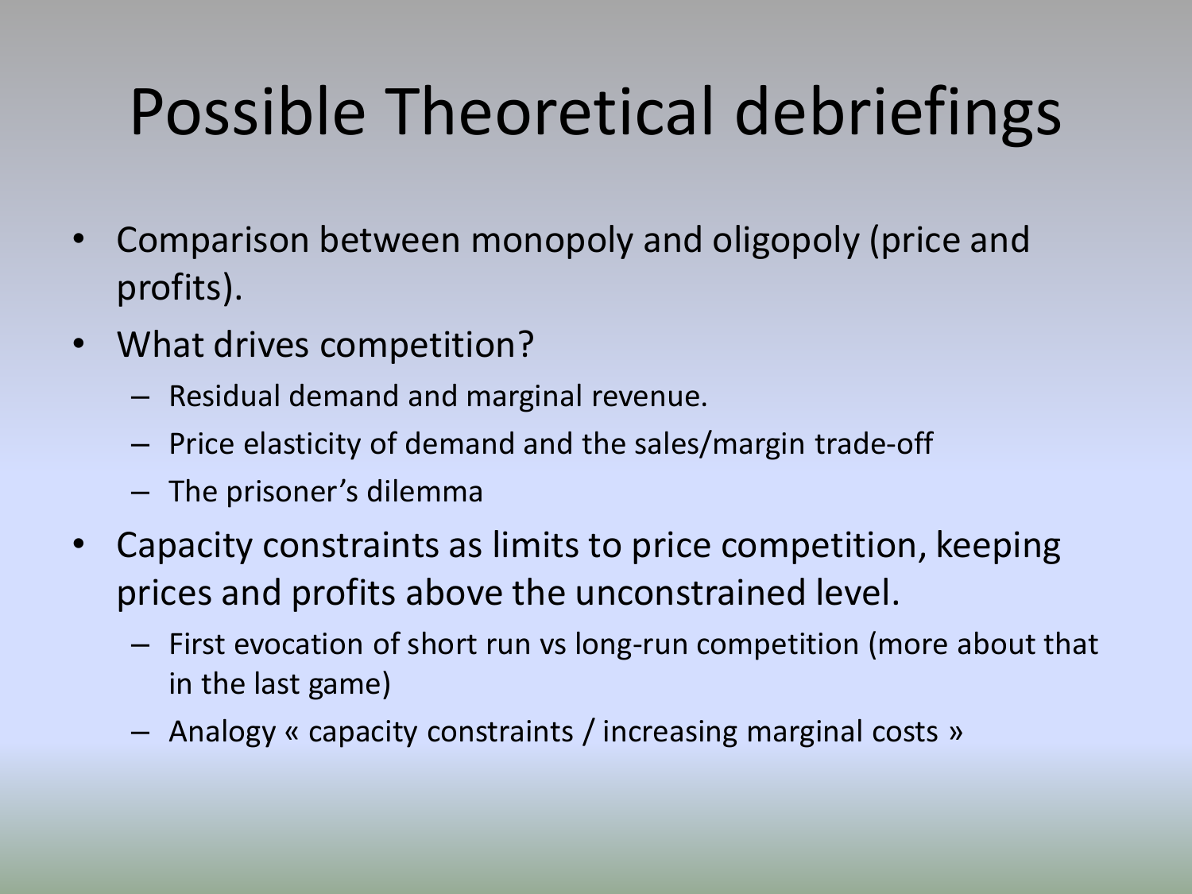- Comparison between monopoly and oligopoly (price and profits).
- What drives competition?
	- Residual demand and marginal revenue.
	- Price elasticity of demand and the sales/margin trade-off
	- The prisoner's dilemma
- Capacity constraints as limits to price competition, keeping prices and profits above the unconstrained level.
	- First evocation of short run vs long-run competition (more about that in the last game)
	- Analogy « capacity constraints / increasing marginal costs »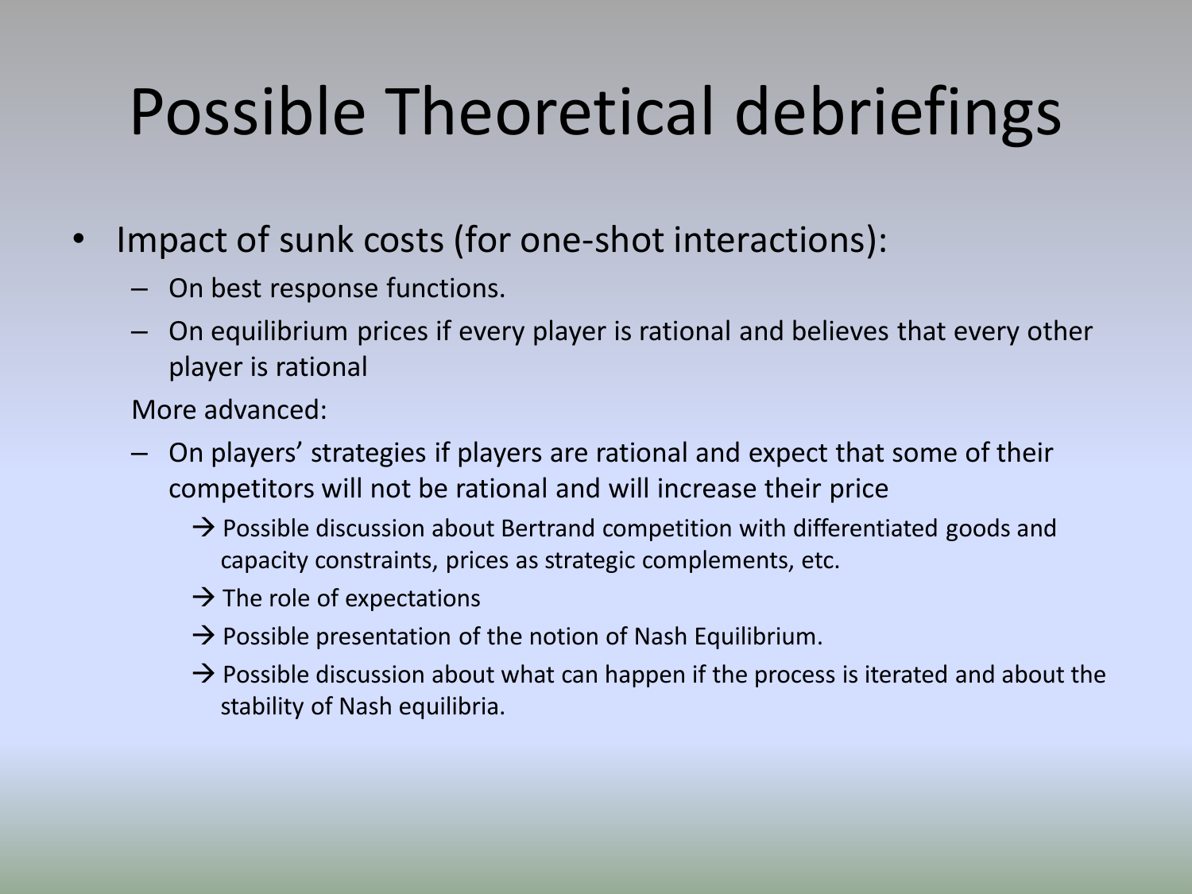- Impact of sunk costs (for one-shot interactions):
	- On best response functions.
	- On equilibrium prices if every player is rational and believes that every other player is rational

More advanced:

- On players' strategies if players are rational and expect that some of their competitors will not be rational and will increase their price
	- $\rightarrow$  Possible discussion about Bertrand competition with differentiated goods and capacity constraints, prices as strategic complements, etc.
	- $\rightarrow$  The role of expectations
	- $\rightarrow$  Possible presentation of the notion of Nash Equilibrium.
	- $\rightarrow$  Possible discussion about what can happen if the process is iterated and about the stability of Nash equilibria.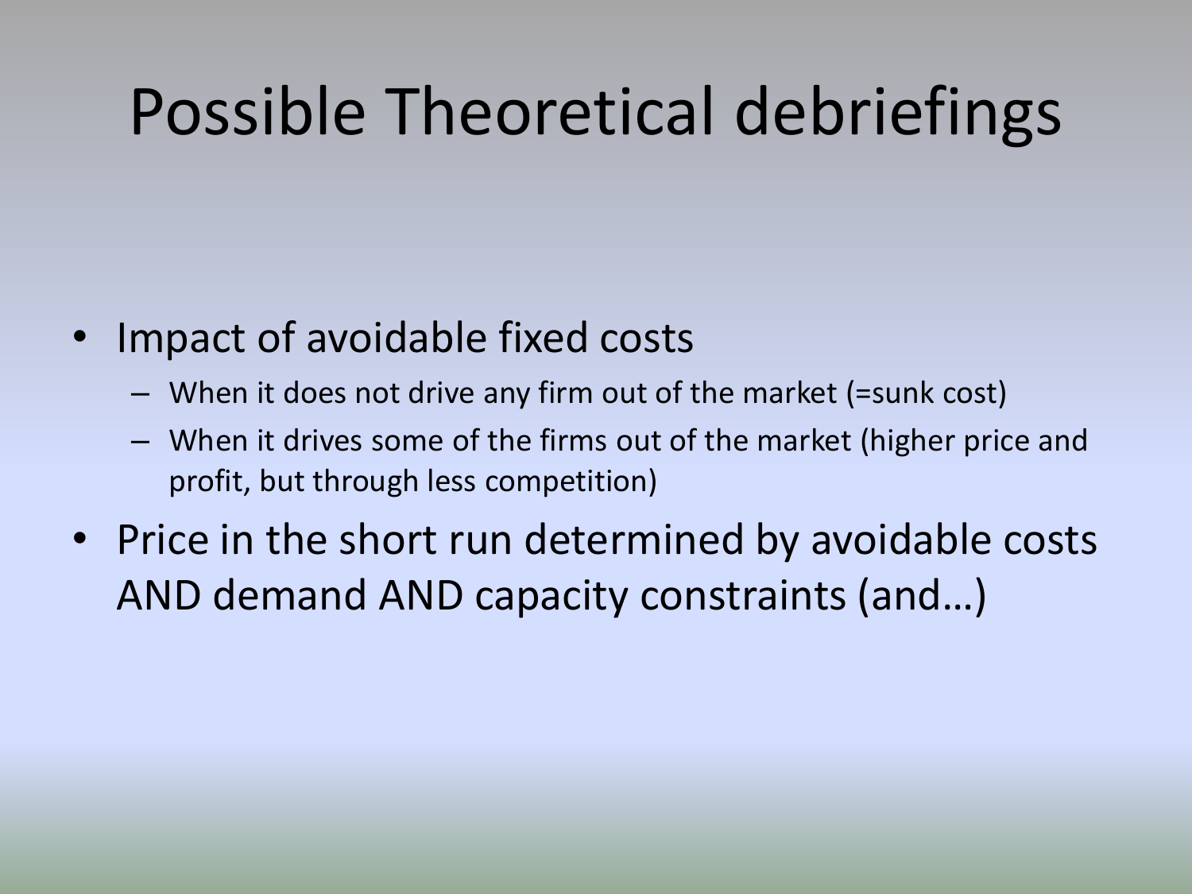- Impact of avoidable fixed costs
	- When it does not drive any firm out of the market (=sunk cost)
	- When it drives some of the firms out of the market (higher price and profit, but through less competition)
- Price in the short run determined by avoidable costs AND demand AND capacity constraints (and…)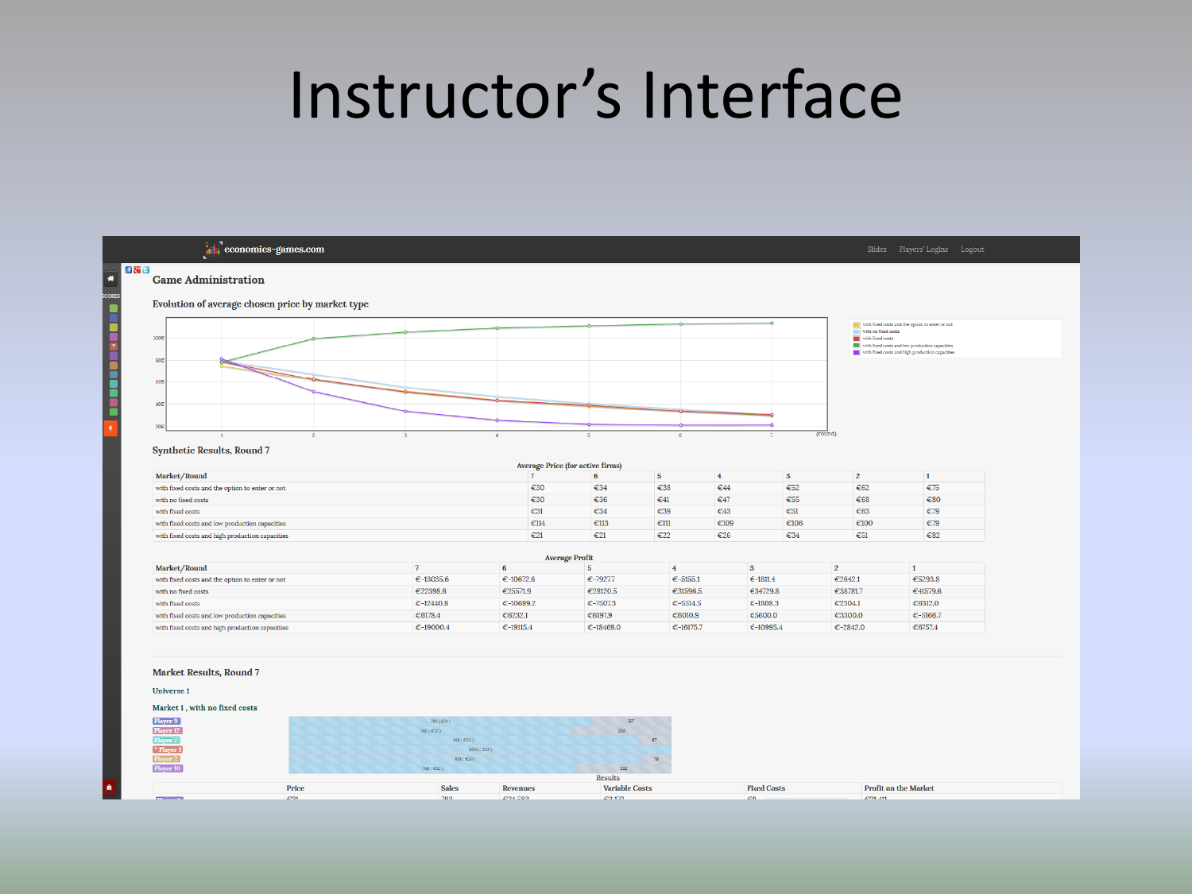### Instructor's Interface

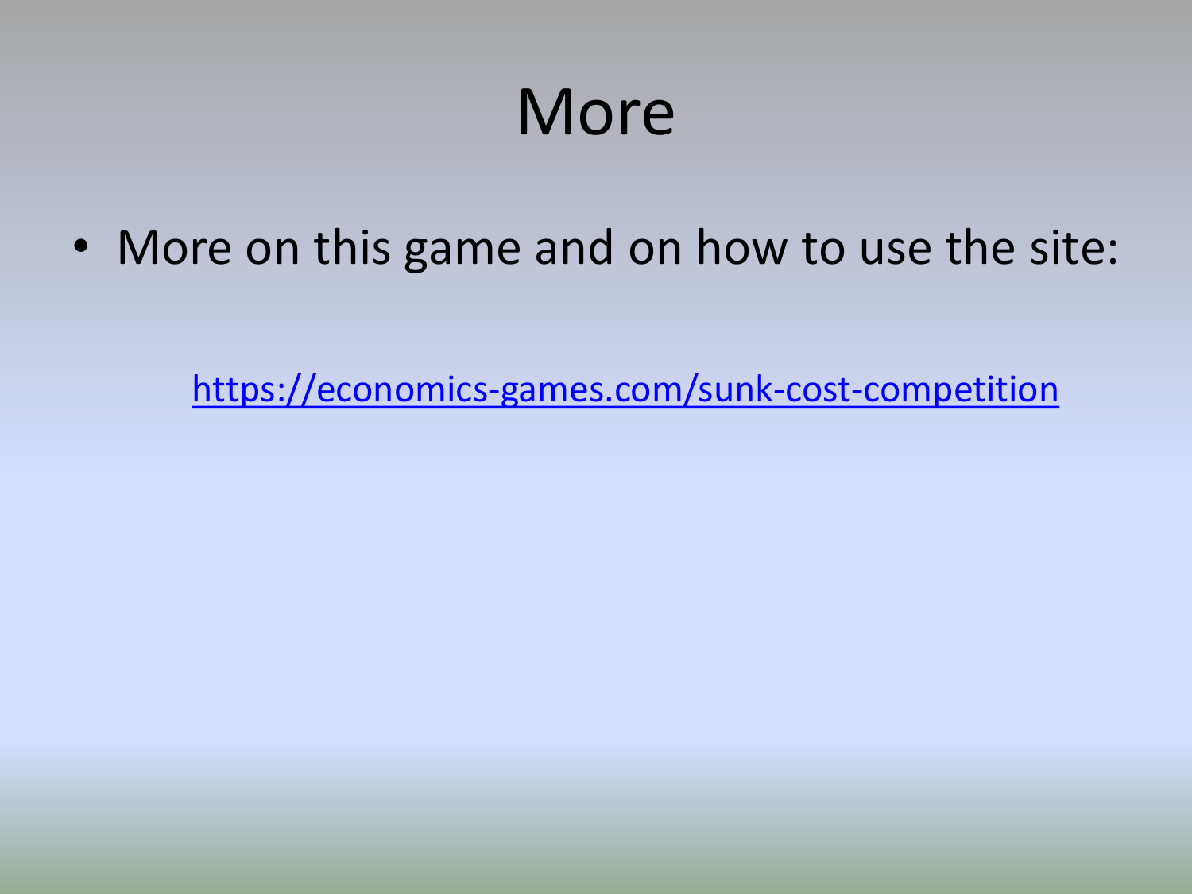## More

• More on this game and on how to use the site:

<https://economics-games.com/sunk-cost-competition>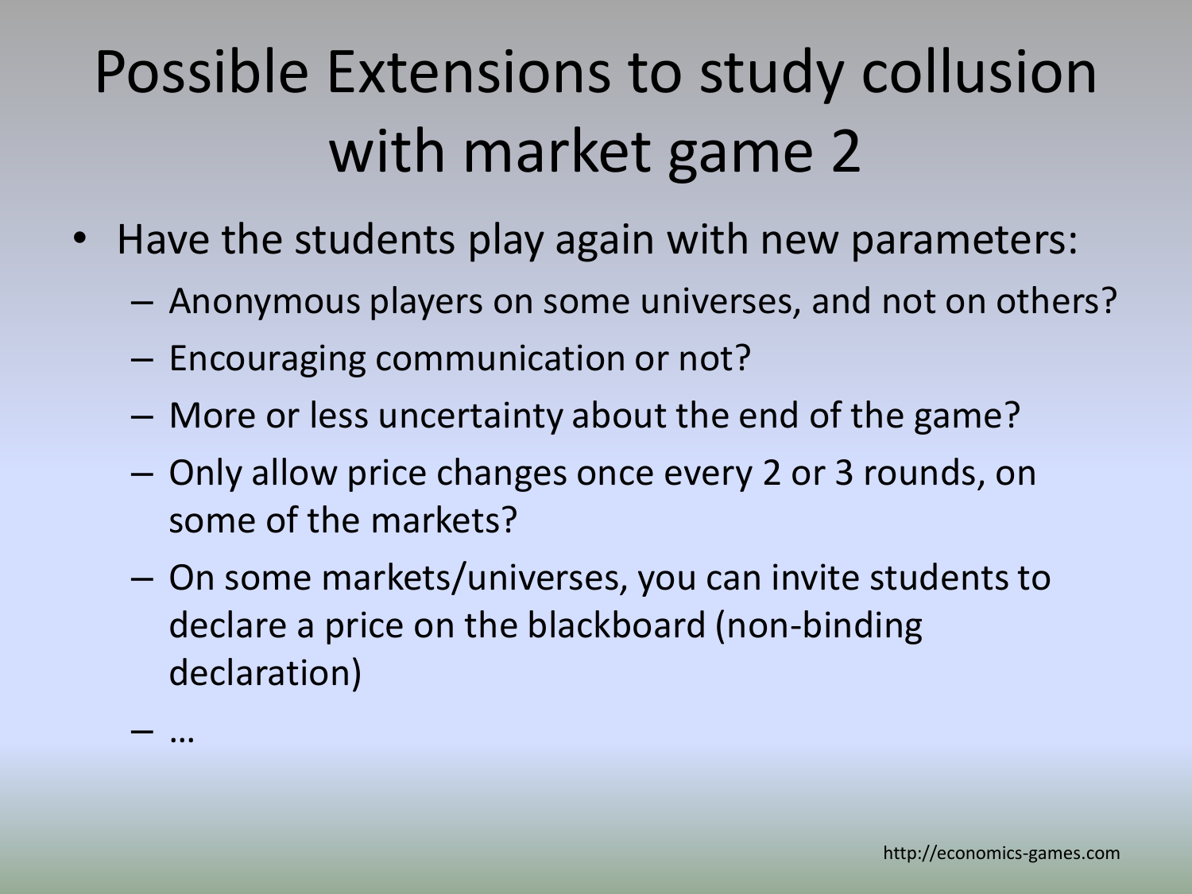## Possible Extensions to study collusion with market game 2

- Have the students play again with new parameters:
	- Anonymous players on some universes, and not on others?
	- Encouraging communication or not?

– …

- More or less uncertainty about the end of the game?
- Only allow price changes once every 2 or 3 rounds, on some of the markets?
- On some markets/universes, you can invite students to declare a price on the blackboard (non-binding declaration)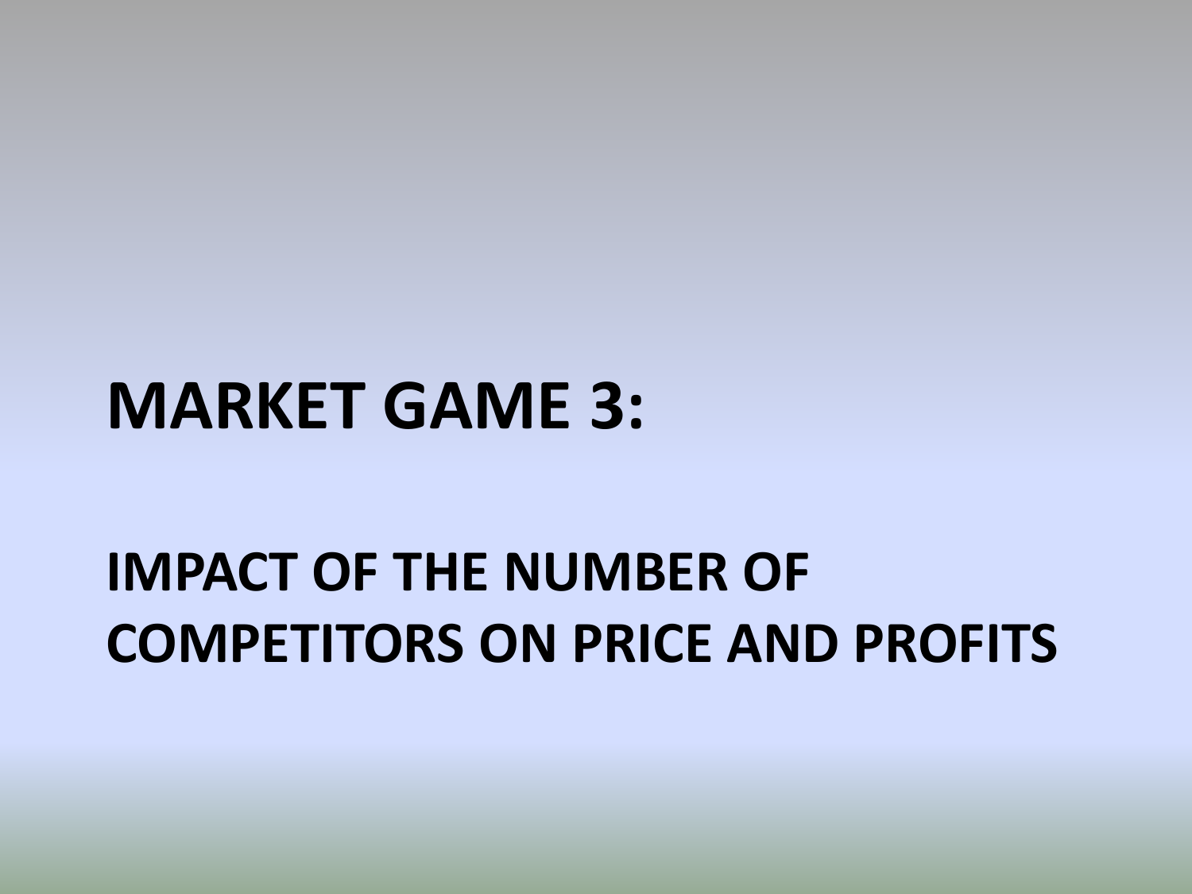### **MARKET GAME 3:**

### **IMPACT OF THE NUMBER OF COMPETITORS ON PRICE AND PROFITS**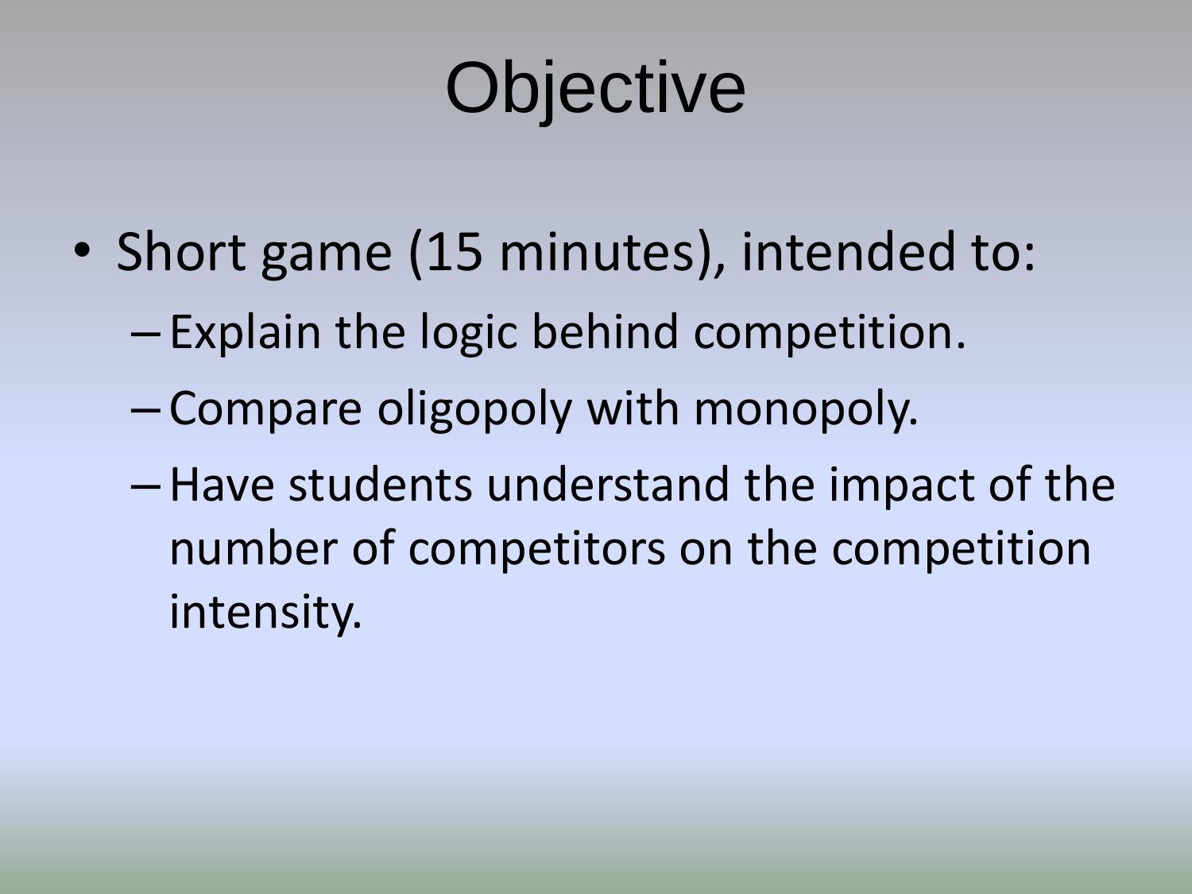# **Objective**

- Short game (15 minutes), intended to:
	- Explain the logic behind competition.
	- Compare oligopoly with monopoly.
	- –Have students understand the impact of the number of competitors on the competition intensity.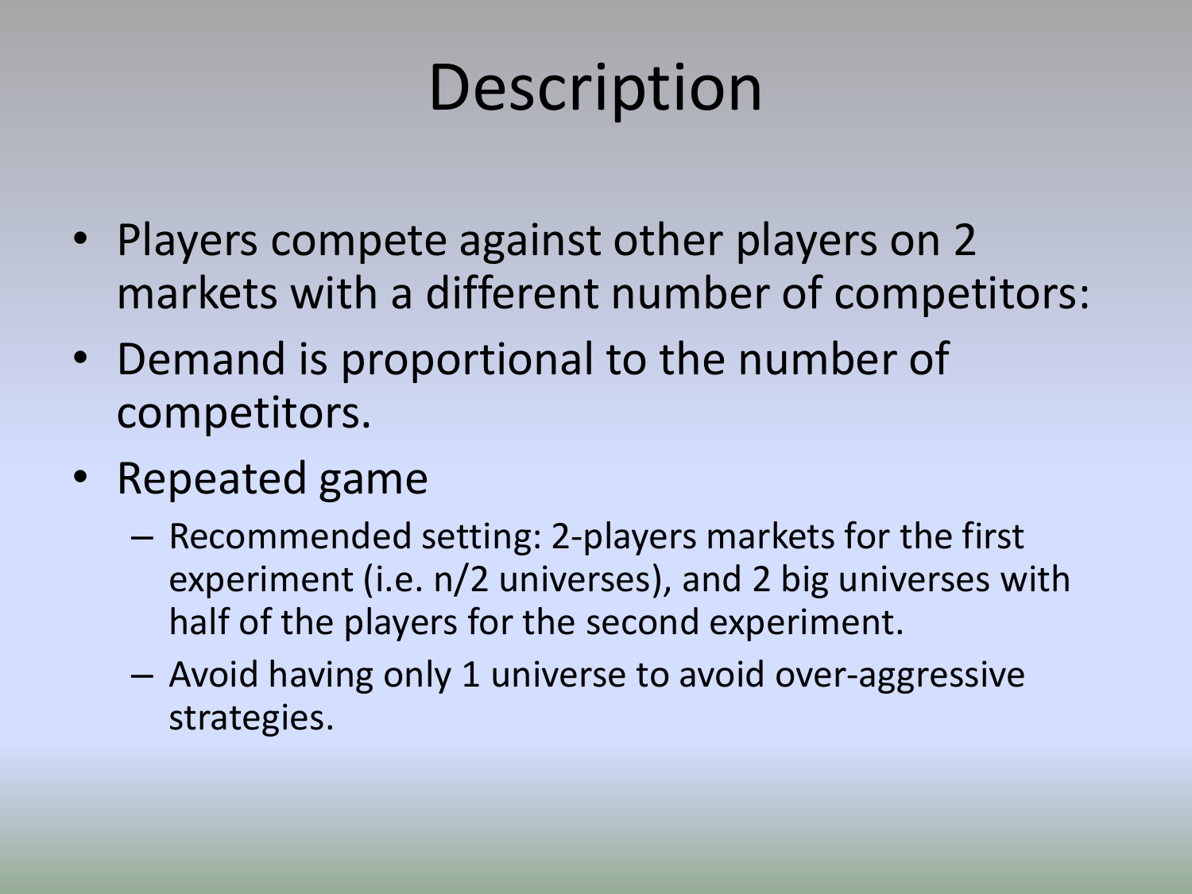## **Description**

- Players compete against other players on 2 markets with a different number of competitors:
- Demand is proportional to the number of competitors.
- Repeated game
	- Recommended setting: 2-players markets for the first experiment (i.e. n/2 universes), and 2 big universes with half of the players for the second experiment.
	- Avoid having only 1 universe to avoid over-aggressive strategies.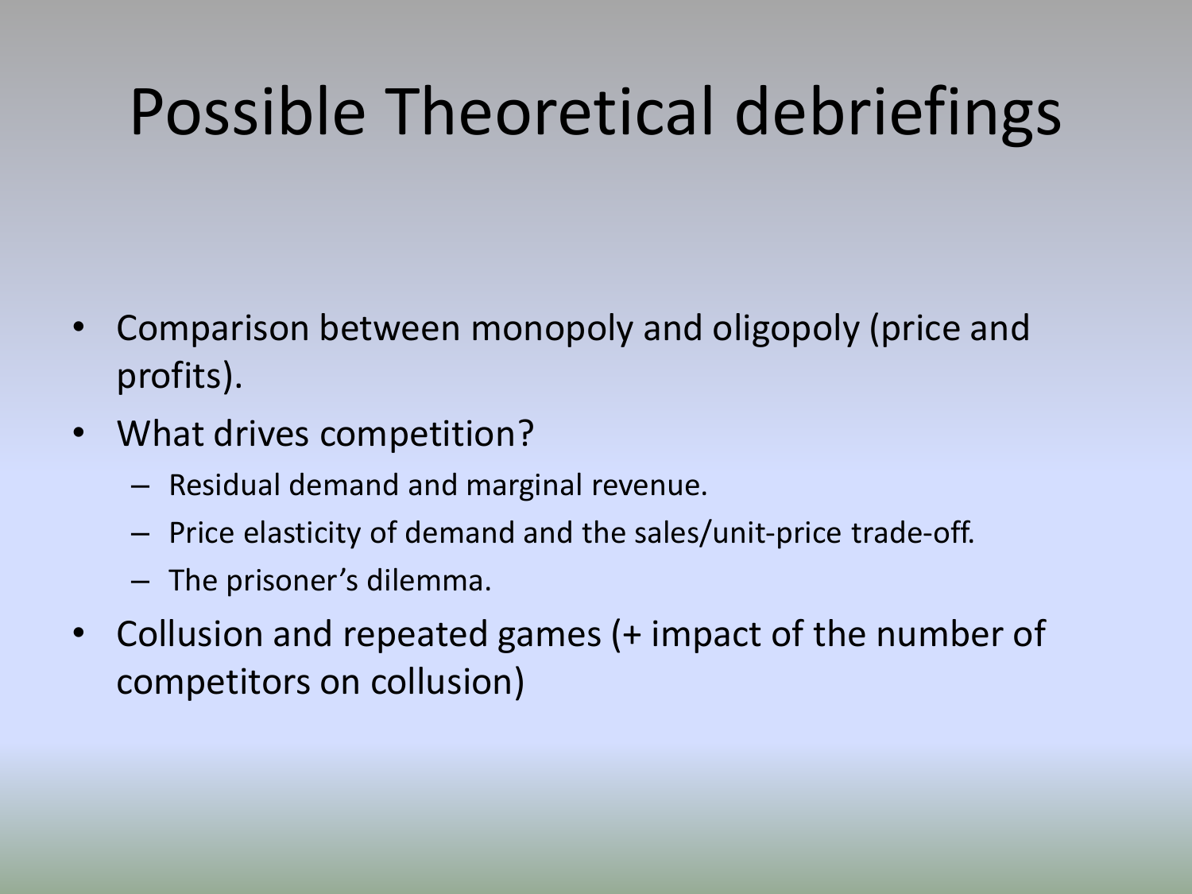- Comparison between monopoly and oligopoly (price and profits).
- What drives competition?
	- Residual demand and marginal revenue.
	- Price elasticity of demand and the sales/unit-price trade-off.
	- The prisoner's dilemma.
- Collusion and repeated games (+ impact of the number of competitors on collusion)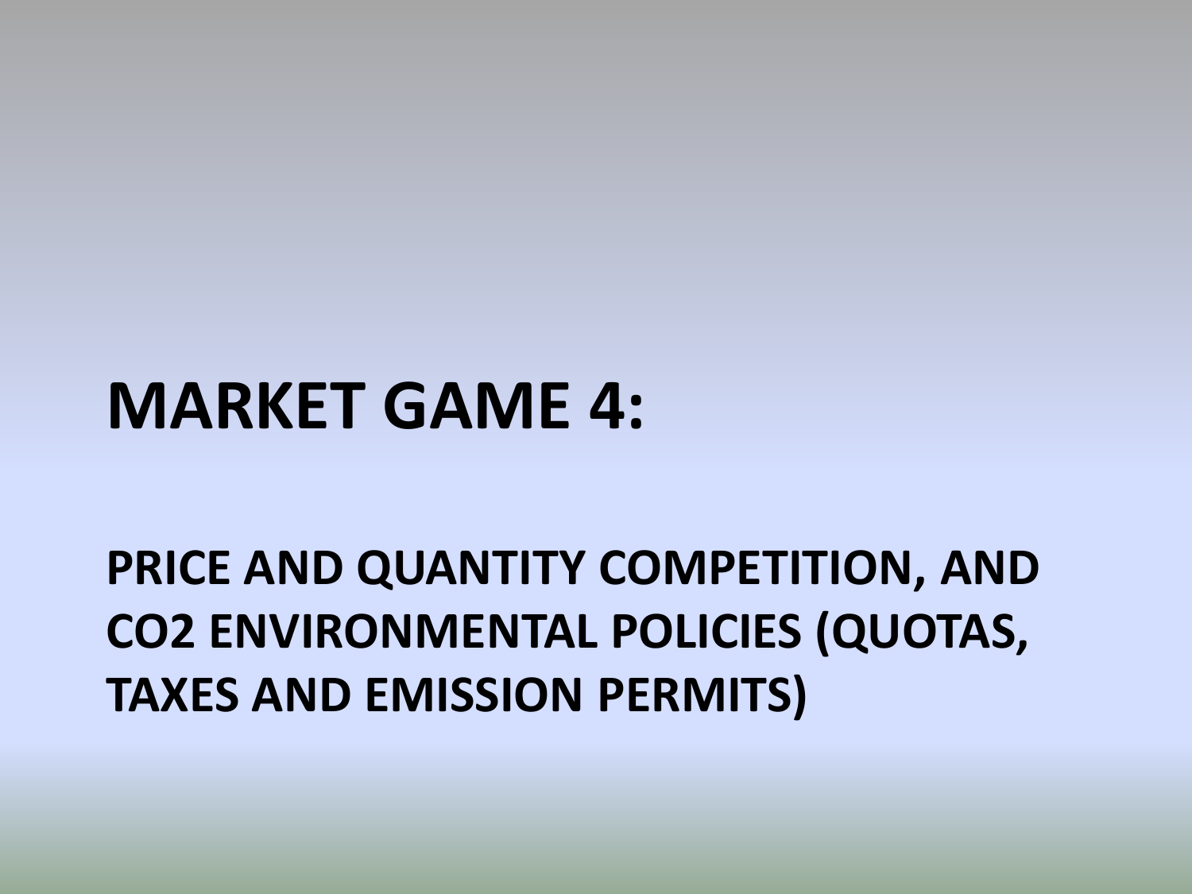### **MARKET GAME 4:**

**PRICE AND QUANTITY COMPETITION, AND CO2 ENVIRONMENTAL POLICIES (QUOTAS, TAXES AND EMISSION PERMITS)**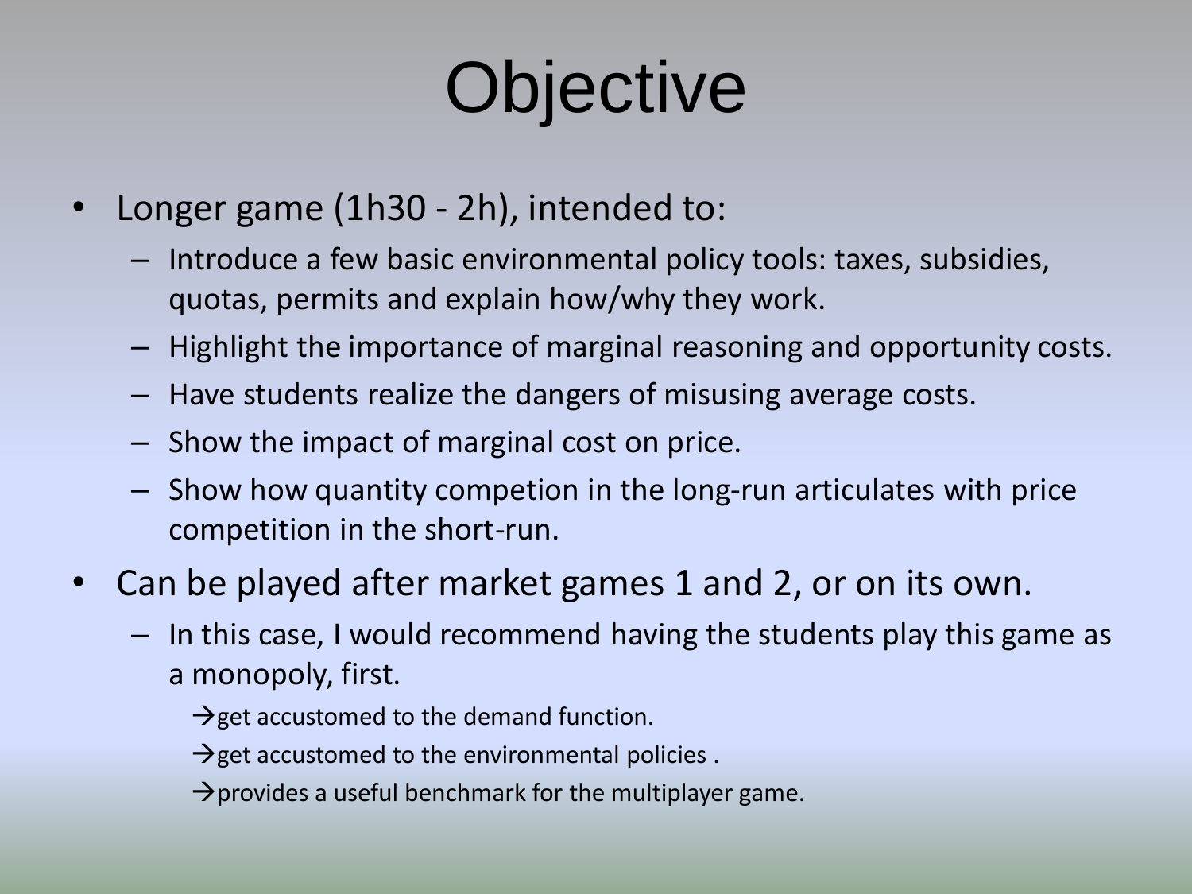# **Objective**

- Longer game (1h30 2h), intended to:
	- Introduce a few basic environmental policy tools: taxes, subsidies, quotas, permits and explain how/why they work.
	- Highlight the importance of marginal reasoning and opportunity costs.
	- Have students realize the dangers of misusing average costs.
	- Show the impact of marginal cost on price.
	- Show how quantity competion in the long-run articulates with price competition in the short-run.
- Can be played after market games 1 and 2, or on its own.
	- In this case, I would recommend having the students play this game as a monopoly, first.
		- $\rightarrow$  get accustomed to the demand function.
		- $\rightarrow$  get accustomed to the environmental policies .
		- $\rightarrow$  provides a useful benchmark for the multiplayer game.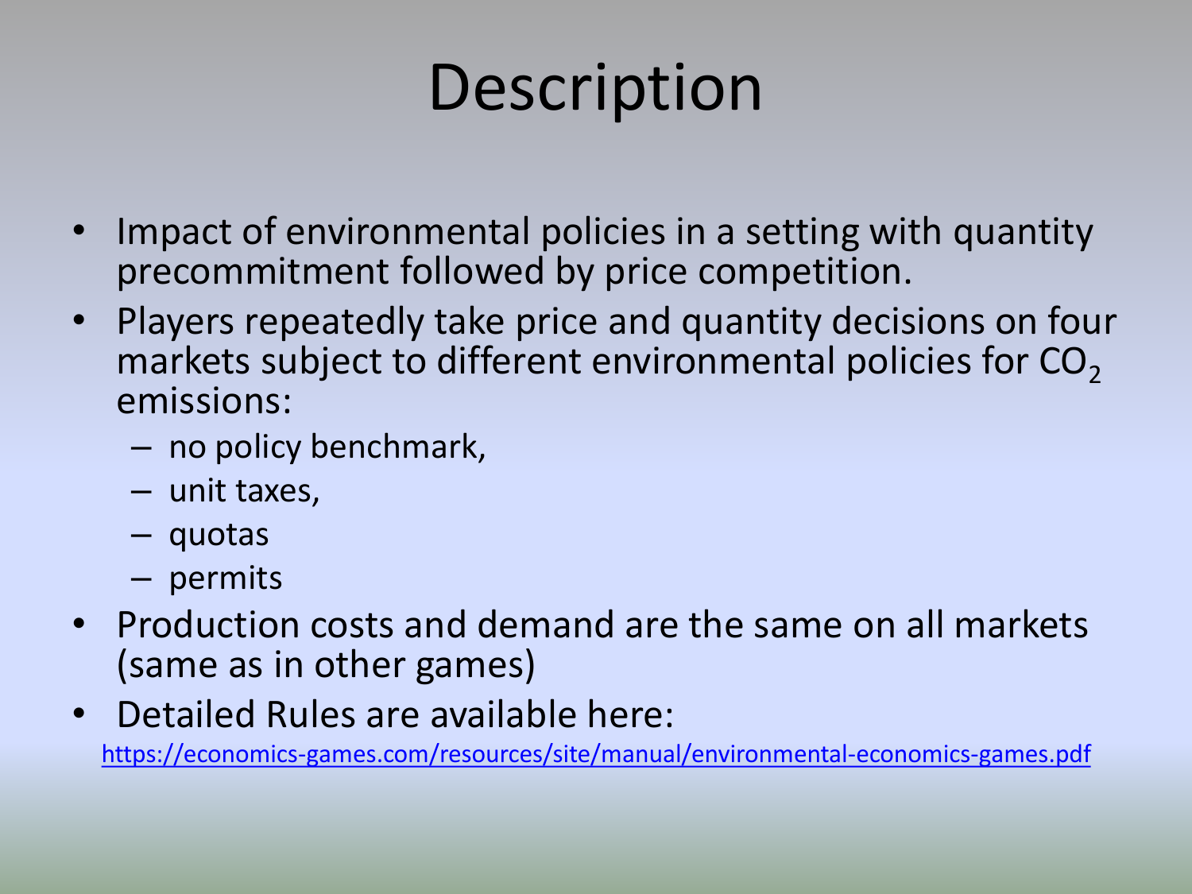## **Description**

- Impact of environmental policies in a setting with quantity precommitment followed by price competition.
- Players repeatedly take price and quantity decisions on four markets subject to different environmental policies for  $CO<sub>2</sub>$ emissions:
	- no policy benchmark,
	- unit taxes,
	- quotas
	- permits
- Production costs and demand are the same on all markets (same as in other games)
- Detailed Rules are available here: <https://economics-games.com/resources/site/manual/environmental-economics-games.pdf>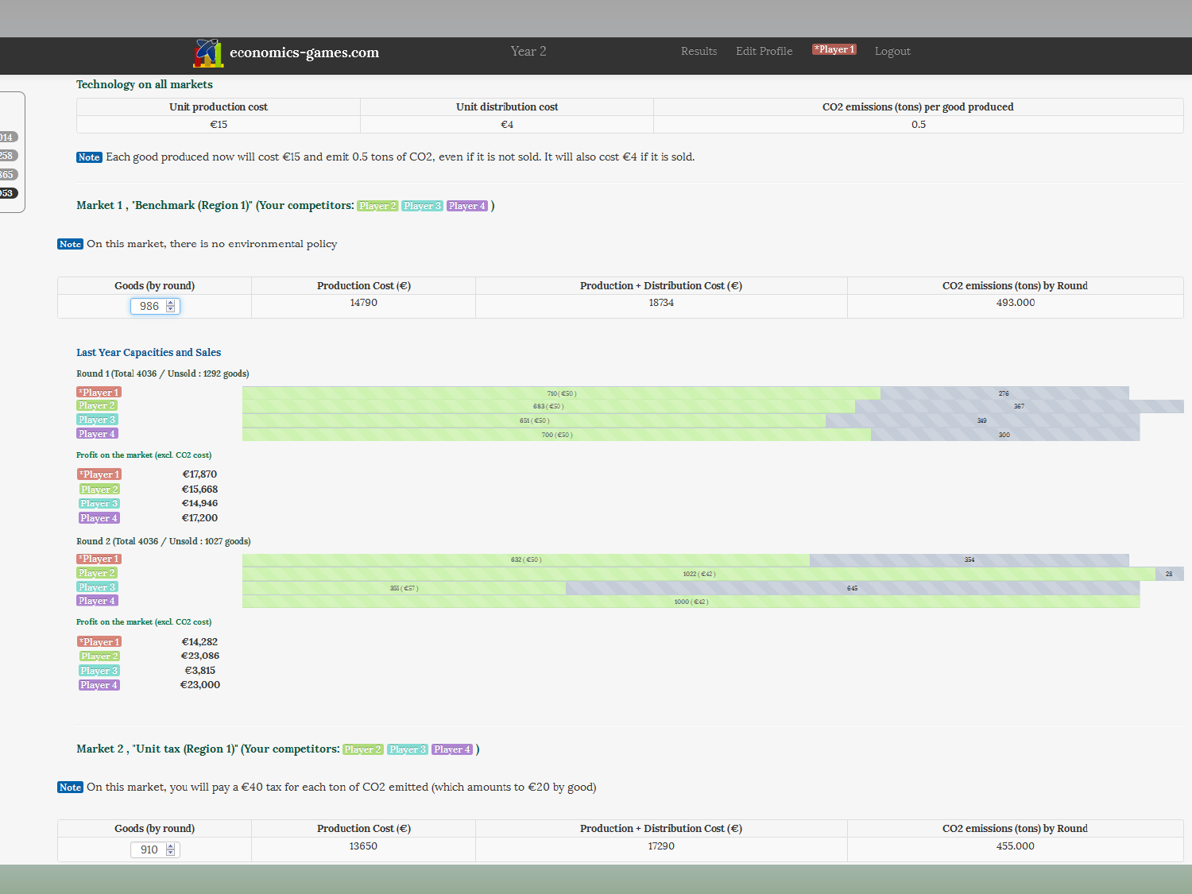|  | $\mathcal{L}$ economics-games.com |
|--|-----------------------------------|
|--|-----------------------------------|

Year 2

### **Technology on all markets**

| Unit production cost | <b>Unit distribution cost</b> | <b>CO2 emissions (tons) per good produced</b> |
|----------------------|-------------------------------|-----------------------------------------------|
| ີ                    |                               |                                               |

Note Each good produced now will cost €15 and emit 0.5 tons of CO2, even if it is not sold. It will also cost €4 if it is sold.

### Market 1, "Benchmark (Region 1)" (Your competitors: Player 2 Player 3 Player 4)

Note On this market, there is no environmental policy

| Goods (by round)  | Production Cost $(\epsilon)$ | Production + Distribution Cost $(\epsilon)$ | <b>CO2</b> emissions (tons) by Round |
|-------------------|------------------------------|---------------------------------------------|--------------------------------------|
| 986 $\frac{1}{2}$ | 14790                        | 18734                                       | 493.000                              |

### **Last Year Capacities and Sales**

### Round 1 (Total 4036 / Unsold : 1292 goods)

| *Player 1<br>Player 2 | 710 (€50) | 276 |
|-----------------------|-----------|-----|
|                       | 683 (€50) | 367 |
| Player 3              | 651 (€50) | 349 |
| Player 4              | 700 (€50) | 300 |

### Profit on the market (excl. CO2 cost)

| *Player 1 | €17.870 |
|-----------|---------|
| Player 2  | €15,668 |
| Player 3  | €14,946 |
| Player 4  | €17,200 |

### Round 2 (Total 4036 / Unsold: 1027 goods)

| $\left[\right.\times$ Player 1 | 632 (£50)  |            | 354 |  |
|--------------------------------|------------|------------|-----|--|
| Player <b>M</b>                |            | 1022 (€42) |     |  |
| Player 3                       | 355 ( €57) | 645        |     |  |
| $m = 1$<br><b>Player 4</b>     |            | 000 (€42)  |     |  |

### Profit on the market (excl. CO2 cost)

| $\vert$ *Plaver 1 | €14,282 |
|-------------------|---------|
| Player 2          | €23,086 |
| Player 3          | €3,815  |
| Player 4          | €23,000 |

| €14,282<br>€23,086 |  |  |  |
|--------------------|--|--|--|
| €3,815<br>€23,000  |  |  |  |

### Market 2, "Unit tax (Region 1)" (Your competitors: Player 2 Player 3 Player 4)

Note On this market, you will pay a €40 tax for each ton of CO2 emitted (which amounts to €20 by good)

| Goods (by round) | Production Cost $(\epsilon)$ | Production + Distribution Cost $(\epsilon)$ | <b>CO2 emissions (tons) by Round</b> |
|------------------|------------------------------|---------------------------------------------|--------------------------------------|
| 910              | 13650                        | 17290                                       | 455.000                              |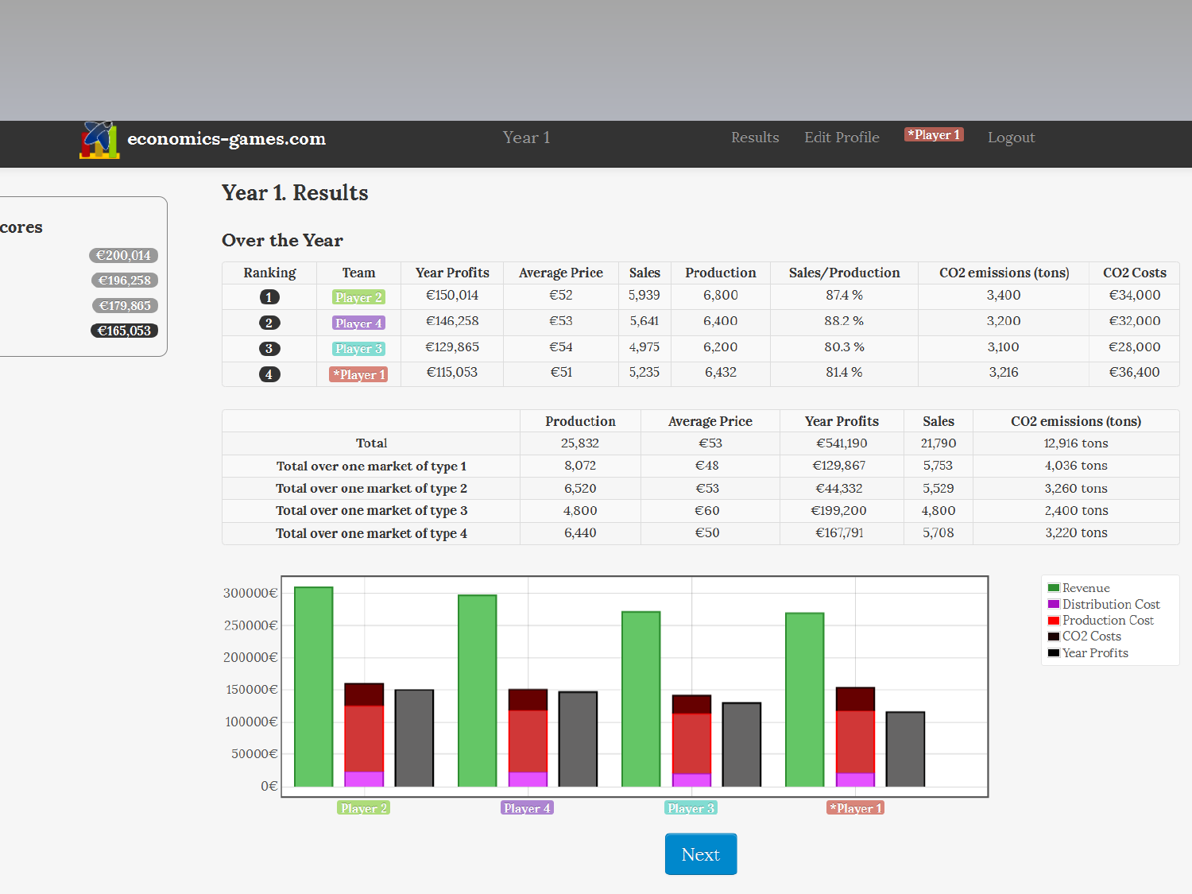

### economics-games.com

\*Player 1 Edit Profile

Logout

### **Year 1. Results**

cores

| €200,014 |  |
|----------|--|
| €196,258 |  |
| €179.865 |  |
| €165,053 |  |

### Over the Year

| Ranking                 | <b>Team</b>                    | <b>Year Profits</b> | Average Price | <b>Sales</b> | Production | Sales/Production | CO <sub>2</sub> emissions (tons) | <b>CO<sub>2</sub></b> Costs |
|-------------------------|--------------------------------|---------------------|---------------|--------------|------------|------------------|----------------------------------|-----------------------------|
| $\mathbf 1$             | Player 2                       | €150.014            | €52           | 5.939        | 6.800      | 87.4 %           | 3.400                            | €34,000                     |
| $\overline{\mathbf{2}}$ | Player $4$                     | €146,258            | €53           | 5.641        | 6.400      | 88.2%            | 3.200                            | €32,000                     |
| $\overline{\mathbf{3}}$ | Player 3                       | €129,865            | €54           | 4.975        | 6,200      | 80.3%            | 3,100                            | €28,000                     |
| $\overline{4}$          | $\blacktriangleright$ Player 1 | €115,053            | €51           | 5,235        | 6,432      | 81.4 %           | 3,216                            | €36,400                     |

|                                 | Production | <b>Average Price</b> | <b>Year Profits</b> | <b>Sales</b> | CO <sub>2</sub> emissions (tons) |
|---------------------------------|------------|----------------------|---------------------|--------------|----------------------------------|
| <b>Total</b>                    | 25,832     | €53                  | €541.190            | 21.790       | 12,916 tons                      |
| Total over one market of type 1 | 8,072      | $\epsilon$ 48        | €129,867            | 5,753        | 4,036 tons                       |
| Total over one market of type 2 | 6,520      | €53                  | €44,332             | 5,529        | 3,260 tons                       |
| Total over one market of type 3 | 4.800      | €60                  | €199.200            | 4,800        | 2,400 tons                       |
| Total over one market of type 4 | 6.440      | €50                  | €167,791            | 5,708        | 3.220 tons                       |



Next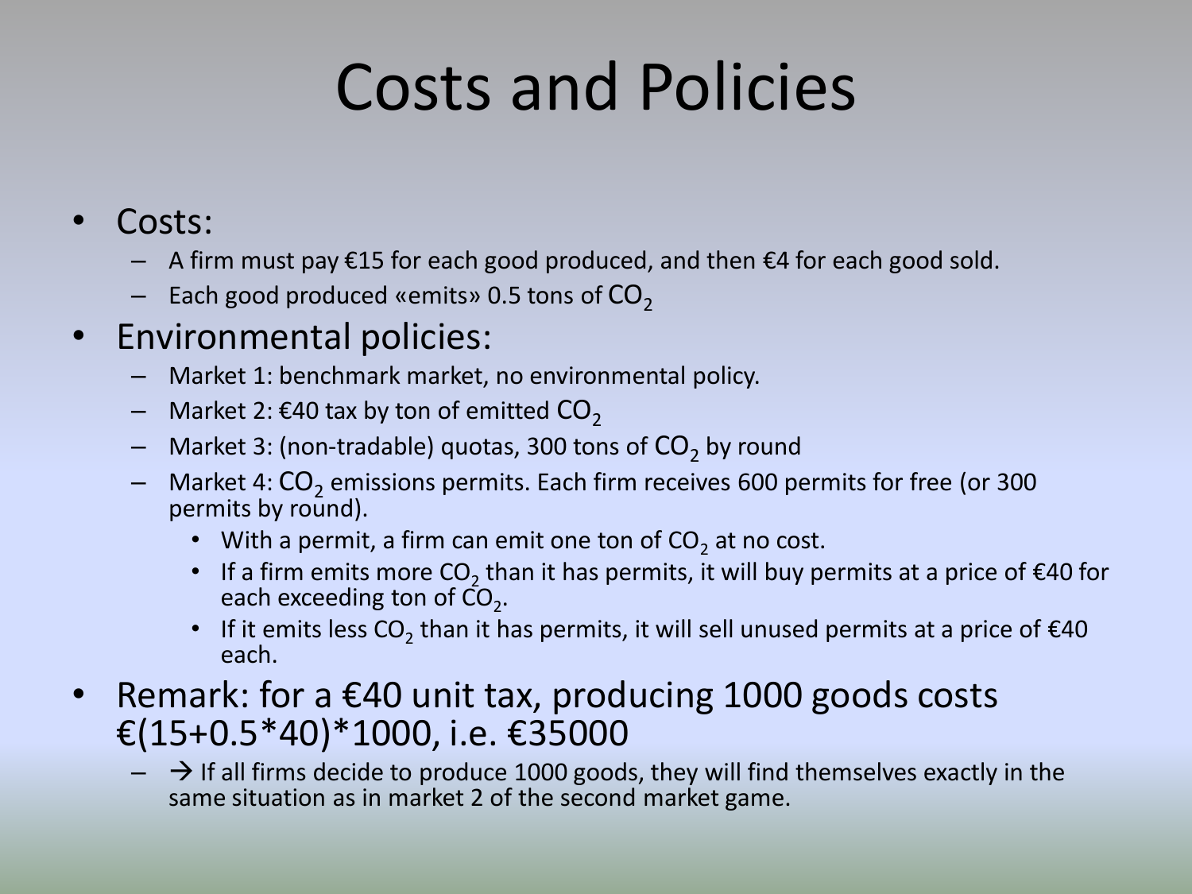## Costs and Policies

- Costs:
	- $-$  A firm must pay €15 for each good produced, and then €4 for each good sold.
	- $-$  Each good produced «emits» 0.5 tons of  $CO<sub>2</sub>$

### • Environmental policies:

- Market 1: benchmark market, no environmental policy.
- $-$  Market 2: €40 tax by ton of emitted  $CO<sub>2</sub>$
- $-$  Market 3: (non-tradable) quotas, 300 tons of  $\mathsf{CO}_2$  by round
- $-$  Market 4:  $CO_2$  emissions permits. Each firm receives 600 permits for free (or 300 permits by round).
	- With a permit, a firm can emit one ton of  $CO<sub>2</sub>$  at no cost.
	- If a firm emits more  $CO_2$  than it has permits, it will buy permits at a price of €40 for each exceeding ton of  $\overline{CO}_{2}$ .
	- If it emits less CO<sub>2</sub> than it has permits, it will sell unused permits at a price of  $\epsilon$ 40 each.
- Remark: for a €40 unit tax, producing 1000 goods costs €(15+0.5\*40)\*1000, i.e. €35000
	- $\rightarrow$  If all firms decide to produce 1000 goods, they will find themselves exactly in the same situation as in market 2 of the second market game.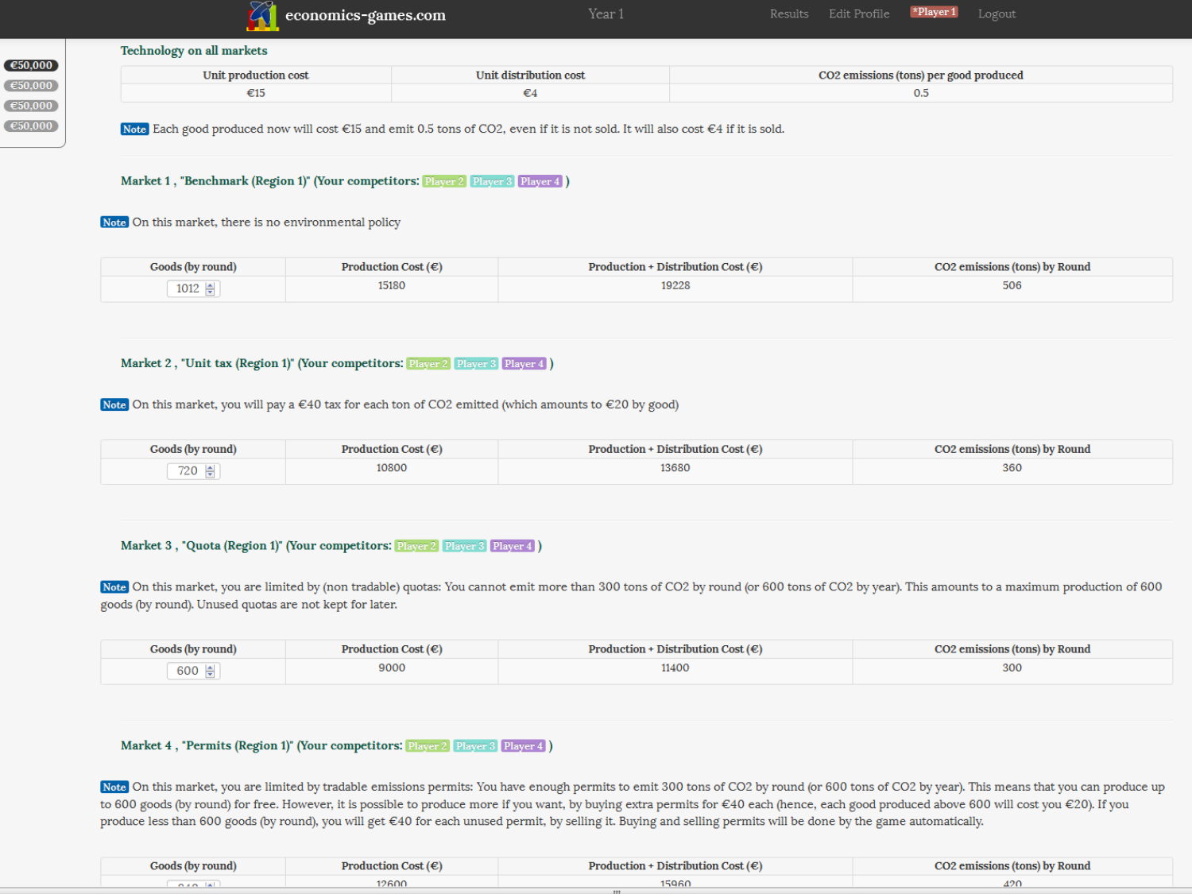| economics-games.com |
|---------------------|
|                     |

Year 1

### **Technology on all markets**

| Unit production cost | Unit distribution cost | CO2 emissions (tons) per good produced |
|----------------------|------------------------|----------------------------------------|
| ະມ                   |                        | $U_{\rm rot}$                          |



Note Each good produced now will cost €15 and emit 0.5 tons of CO2, even if it is not sold. It will also cost €4 if it is sold.

Market 1, "Benchmark (Region 1)" (Your competitors: Player 2 Player 3 Player 4)

Note On this market, there is no environmental policy

| Goods (by round)                               | Production Cost $(\epsilon)$ | $Production + Distribution Cost(E)$ | <b>CO2</b> emissions (tons) by Round |  |
|------------------------------------------------|------------------------------|-------------------------------------|--------------------------------------|--|
| $1012 \div$<br>the contract of the contract of | 15180                        | 19228                               | 506                                  |  |

### Market 2, "Unit tax (Region 1)" (Your competitors: Player 2 Player 3 Player 4)

Note On this market, you will pay a  $\in$  40 tax for each ton of CO2 emitted (which amounts to  $\in$  20 by good)

| Goods (by round) | <b>Production Cost <math>(\epsilon)</math></b> | Production + Distribution Cost $(\epsilon)$ | <b>CO2</b> emissions (tons) by Round |
|------------------|------------------------------------------------|---------------------------------------------|--------------------------------------|
| 720 후            | 10800                                          | 13680                                       | 360                                  |

### Market 3, "Quota (Region 1)" (Your competitors: Player 2 Player 3 Player 4)

Note On this market, you are limited by (non tradable) quotas: You cannot emit more than 300 tons of CO2 by round (or 600 tons of CO2 by year). This amounts to a maximum production of 600 goods (by round). Unused quotas are not kept for later.

| Goods (by round) | <b>Production Cost</b> $(\epsilon)$ | Production + Distribution Cost $(\epsilon)$ | <b>CO2</b> emissions (tons) by Round |  |
|------------------|-------------------------------------|---------------------------------------------|--------------------------------------|--|
| 600 후            | 9000                                | 11400                                       | 300                                  |  |

### Market 4, "Permits (Region 1)" (Your competitors: Player 2 Player 3 Player 4)

Note On this market, you are limited by tradable emissions permits: You have enough permits to emit 300 tons of CO2 by round (or 600 tons of CO2 by year). This means that you can produce up to 600 goods (by round) for free. However, it is possible to produce more if you want, by buying extra permits for €40 each (hence, each good produced above 600 will cost you €20). If you produce less than 600 goods (by round), you will get €40 for each unused permit, by selling it. Buying and selling permits will be done by the game automatically.

| Goods (by round) | Production Cost $(\epsilon)$ | Production + Distribution Cost $(\epsilon)$ | <b>CO2</b> emissions (tons) by Round |
|------------------|------------------------------|---------------------------------------------|--------------------------------------|
| الخاصده          | 12600                        | 15960                                       |                                      |
|                  |                              |                                             |                                      |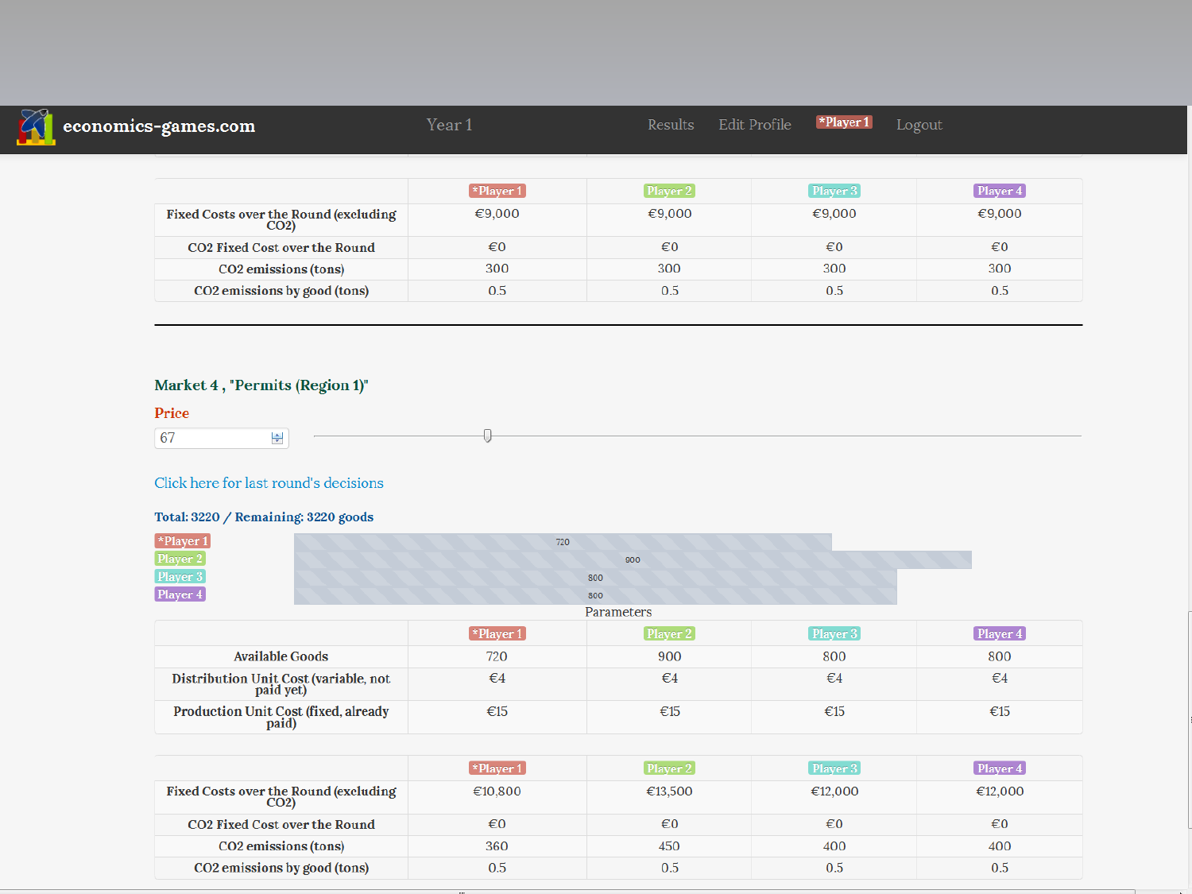| economics-games.com                           | Year 1                         | <b>Results</b> | $\blacktriangleright$ Player 1<br>Edit Profile | Logout       |
|-----------------------------------------------|--------------------------------|----------------|------------------------------------------------|--------------|
|                                               | $\blacktriangleright$ Player 1 | [Player 2]     | Player 3                                       | [Player 4]   |
| Fixed Costs over the Round (excluding<br>CO2) | €9,000                         | € $9,000$      | € $9,000$                                      | €9,000       |
| <b>CO2 Fixed Cost over the Round</b>          | $\epsilon$ <sub>0</sub>        | €0             | €0                                             | $\epsilon$ 0 |
| CO <sub>2</sub> emissions (tons)              | 300                            | 300            | 300                                            | 300          |
| CO <sub>2</sub> emissions by good (tons)      | 0.5                            | 0.5            | 0.5                                            | 0.5          |

### Market 4, "Permits (Region 1)"



### Click here for last round's decisions

### Total: 3220 / Remaining: 3220 goods

| $\left[ *$ Player 1 | 720 |
|---------------------|-----|
| Player 2            | 900 |
| Player 3            | 800 |
| Player 4            | 800 |

Parameters

|                                                    | *Player 1    | Player 2 | Player 3 | Player 4 |
|----------------------------------------------------|--------------|----------|----------|----------|
| <b>Available Goods</b>                             | 720          | 900      | 800      | 800      |
| Distribution Unit Cost (variable, not<br>paid yet) | $\epsilon$ 4 | €4       | €4       | €4       |
| Production Unit Cost (fixed, already<br>paid)      | €15          | €15      | €15      | €15      |

|                                               | $\blacktriangleright$ Player 1 | Player 2 | Player 3 | Player 4                |
|-----------------------------------------------|--------------------------------|----------|----------|-------------------------|
| Fixed Costs over the Round (excluding<br>CO2) | €10,800                        | €13,500  | €12,000  | €12,000                 |
| <b>CO2 Fixed Cost over the Round</b>          | €0                             | €0       | €0       | $\epsilon$ <sup>0</sup> |
| CO <sub>2</sub> emissions (tons)              | 360                            | 450      | 400      | 400                     |
| CO2 emissions by good (tons)                  | 0.5                            | 0.5      | 0.5      | 0.5                     |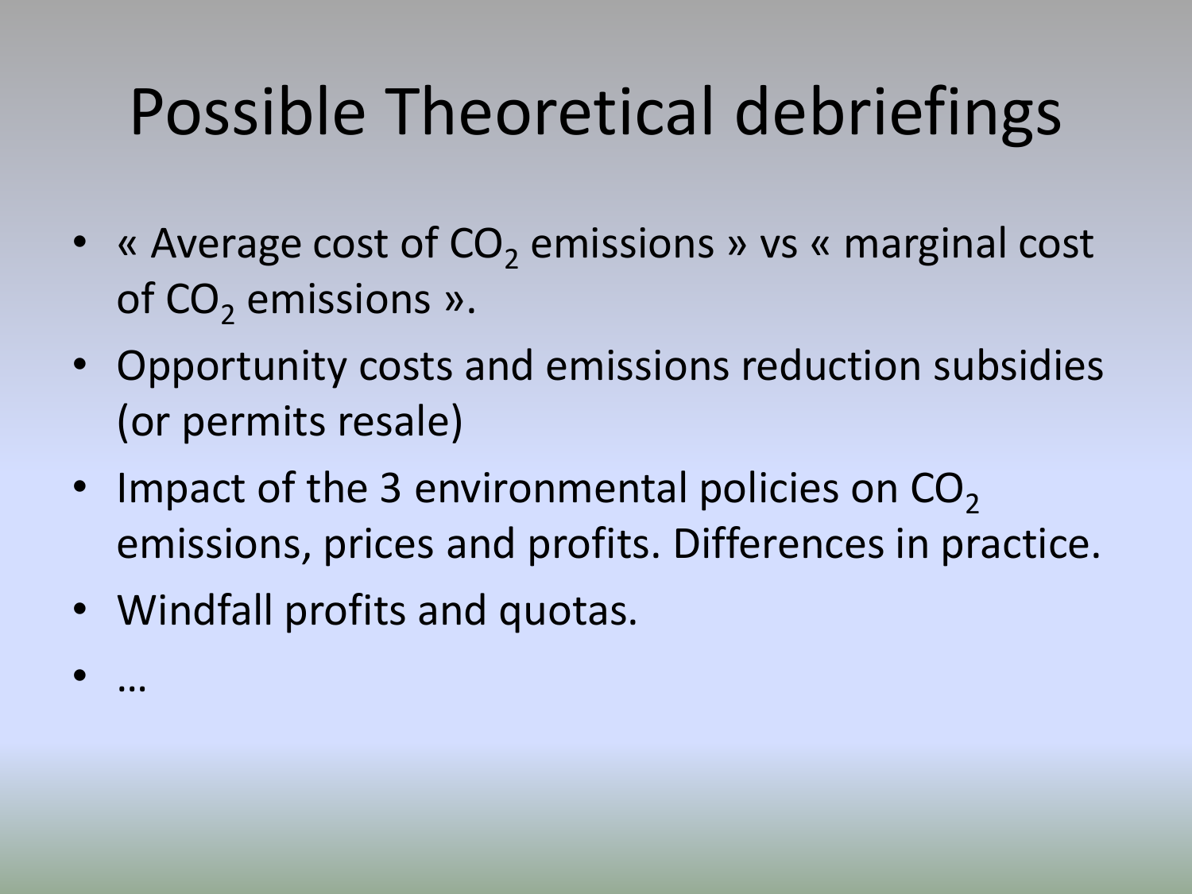- « Average cost of  $CO<sub>2</sub>$  emissions » vs « marginal cost of  $CO<sub>2</sub>$  emissions ».
- Opportunity costs and emissions reduction subsidies (or permits resale)
- Impact of the 3 environmental policies on  $CO<sub>2</sub>$ emissions, prices and profits. Differences in practice.
- Windfall profits and quotas.
- …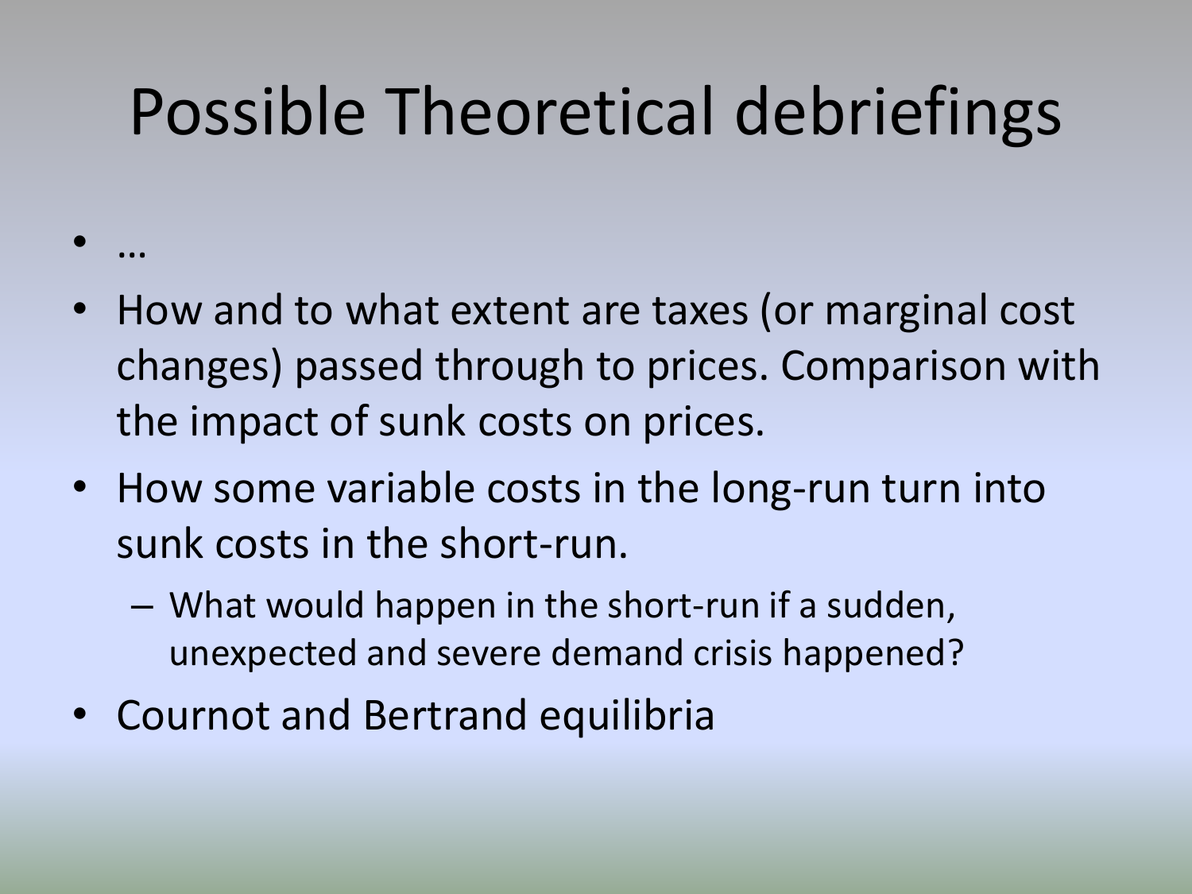- How and to what extent are taxes (or marginal cost changes) passed through to prices. Comparison with the impact of sunk costs on prices.
- How some variable costs in the long-run turn into sunk costs in the short-run.
	- What would happen in the short-run if a sudden, unexpected and severe demand crisis happened?
- Cournot and Bertrand equilibria

• …